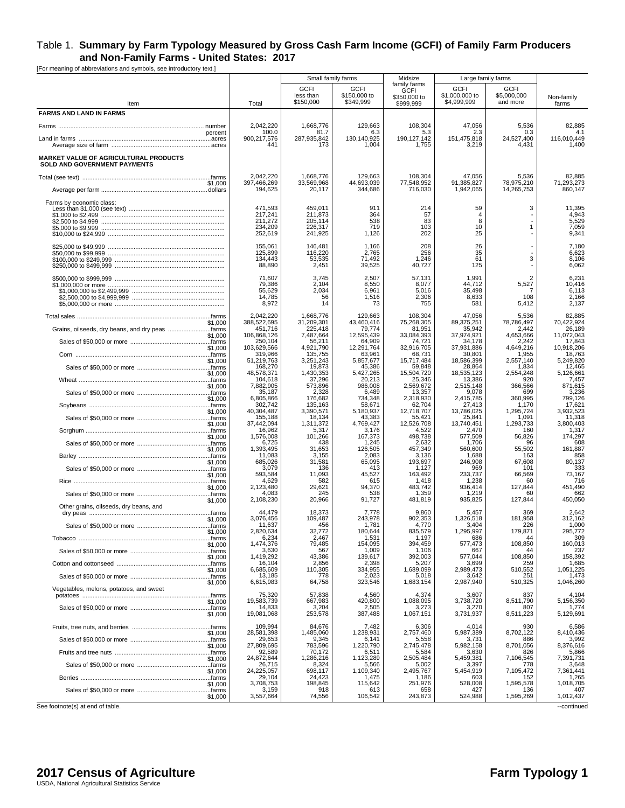[For meaning of abbreviations and symbols, see introductory text.]

|                                                                       |                                                     |                                                     | Small family farms                       | Midsize                                                  |                                              | Large family farms                            |                                            |
|-----------------------------------------------------------------------|-----------------------------------------------------|-----------------------------------------------------|------------------------------------------|----------------------------------------------------------|----------------------------------------------|-----------------------------------------------|--------------------------------------------|
| Item                                                                  | Total                                               | <b>GCFI</b><br>less than<br>\$150,000               | <b>GCFI</b><br>\$150,000 to<br>\$349,999 | family farms<br><b>GCFI</b><br>\$350,000 to<br>\$999.999 | <b>GCFI</b><br>\$1,000,000 to<br>\$4,999,999 | <b>GCFI</b><br>\$5,000,000<br>and more        | Non-family<br>farms                        |
| <b>FARMS AND LAND IN FARMS</b>                                        |                                                     |                                                     |                                          |                                                          |                                              |                                               |                                            |
|                                                                       | 2,042,220                                           | 1,668,776                                           | 129,663                                  | 108,304                                                  | 47,056                                       | 5,536                                         | 82,885                                     |
|                                                                       | 100.0<br>percent<br>900,217,576                     | 81.7<br>287,935,842                                 | 6.3<br>130.140.925                       | 5.3<br>190, 127, 142                                     | 2.3<br>151,475,818                           | 0.3<br>24,527,400                             | 4.1<br>116.010.449                         |
|                                                                       | 441                                                 | 173                                                 | 1,004                                    | 1,755                                                    | 3,219                                        | 4,431                                         | 1,400                                      |
| MARKET VALUE OF AGRICULTURAL PRODUCTS<br>SOLD AND GOVERNMENT PAYMENTS |                                                     |                                                     |                                          |                                                          |                                              |                                               |                                            |
|                                                                       | 2,042,220                                           | 1,668,776                                           | 129,663                                  | 108,304                                                  | 47,056<br>91.385.827                         | 5,536                                         | 82,885                                     |
|                                                                       | 397,466,269<br>\$1,000<br>194,625                   | 33,569,968<br>20,117                                | 44,693,039<br>344,686                    | 77,548,952<br>716,030                                    | 1,942,065                                    | 78,975,210<br>14,265,753                      | 71,293,273<br>860.147                      |
| Farms by economic class:                                              | 471,593<br>217,241<br>211,272<br>234,209<br>252,619 | 459,011<br>211,873<br>205,114<br>226,317<br>241,925 | 911<br>364<br>538<br>719<br>1,126        | 214<br>57<br>83<br>103<br>202                            | 59<br>$\Delta$<br>8<br>10<br>25              | 3<br>$\mathbf{1}$                             | 11,395<br>4,943<br>5,529<br>7,059<br>9,341 |
|                                                                       | 155,061<br>125,899<br>134,443<br>88,890             | 146,481<br>116,220<br>53,535<br>2,451               | 1,166<br>2,765<br>71,492<br>39,525       | 208<br>256<br>1,246<br>40,727                            | 26<br>35<br>61<br>125                        | 3                                             | 7,180<br>6,623<br>8,106<br>6,062           |
|                                                                       | 71,607<br>79,386<br>55,629<br>14,785<br>8,972       | 3,745<br>2.104<br>2,034<br>56<br>14                 | 2,507<br>8,550<br>6,961<br>1,516<br>73   | 57,131<br>8,077<br>5,016<br>2,306<br>755                 | 1,991<br>44,712<br>35,498<br>8,633<br>581    | $\overline{2}$<br>5,527<br>-7<br>108<br>5,412 | 6,231<br>10,416<br>6,113<br>2,166<br>2,137 |
|                                                                       | 2.042.220                                           | 1,668,776                                           | 129,663                                  | 108,304                                                  | 47,056                                       | 5,536                                         | 82,885                                     |
| Grains, oilseeds, dry beans, and dry peas farms                       | 388,522,695<br>\$1.000<br>451,716                   | 31,209,301<br>225,418                               | 43,460,416<br>79,774                     | 75.268.305<br>81,951                                     | 89,375,251<br>35,942                         | 78,786,497<br>2,442                           | 70,422,924<br>26,189                       |
|                                                                       | 106,868,126<br>\$1,000<br>250,104                   | 7,487,664<br>56,211                                 | 12,595,439<br>64,909                     | 33,084,393<br>74,721                                     | 37,974,921<br>34,178                         | 4,653,666<br>2,242                            | 11,072,043<br>17,843                       |
|                                                                       | 103,629,566<br>\$1,000<br>319,966                   | 4,921,790<br>135,755                                | 12,291,764<br>63,961                     | 32,916,705<br>68,731                                     | 37,931,886<br>30,801                         | 4,649,216<br>1,955                            | 10,918,206<br>18,763                       |
|                                                                       | 51,219,763<br>\$1.000<br>168,270                    | 3,251,243<br>19,873                                 | 5,857,677<br>45,386                      | 15,717,484<br>59,848                                     | 18,586,399<br>28,864                         | 2.557.140<br>1,834                            | 5,249,820<br>12,465                        |
|                                                                       | 48,578,371<br>\$1,000                               | 1,430,353                                           | 5,427,265                                | 15,504,720                                               | 18,535,123                                   | 2,554,248<br>920                              | 5,126,661                                  |
|                                                                       | 104,618<br>7,882,905<br>\$1,000                     | 37,296<br>573,896                                   | 20,213<br>986,008                        | 25,346<br>2,569,672                                      | 13,386<br>2,515,148                          | 366,566                                       | 7,457<br>871,615                           |
|                                                                       | 35,187<br>6,805,866<br>\$1,000                      | 2,328<br>176,682                                    | 6,489<br>734,348                         | 13,357<br>2,318,930                                      | 9,078<br>2,415,785                           | 699<br>360,995                                | 3,236<br>799,126                           |
|                                                                       | 302,742<br>40,304,487<br>\$1,000                    | 135,163<br>3,390,571                                | 58,671<br>5,180,937                      | 62,704<br>12,718,707                                     | 27,413<br>13,786,025                         | 1,170<br>1,295,724                            | 17,621<br>3,932,523                        |
|                                                                       | 155,188<br>37,442,094<br>\$1,000                    | 18,134<br>1,311,372                                 | 43,383<br>4,769,427                      | 55,421<br>12,526,708                                     | 25,841<br>13,740,451                         | 1,091<br>1,293,733                            | 11,318<br>3,800,403                        |
|                                                                       | 16,962<br>1,576,008<br>\$1,000                      | 5,317<br>101,266                                    | 3,176<br>167,373                         | 4,522<br>498,738                                         | 2,470<br>577,509                             | 160<br>56,826                                 | 1,317<br>174,297                           |
|                                                                       | 6,725<br>1,393,495                                  | 438                                                 | 1,245                                    | 2,632                                                    | 1,706                                        | 96                                            | 608                                        |
|                                                                       | \$1,000<br>11,083                                   | 31,653<br>3,155                                     | 126,505<br>2,083                         | 457,349<br>3,136                                         | 560,600<br>1,688                             | 55,502<br>163                                 | 161,887<br>858                             |
|                                                                       | 685,026<br>\$1,000<br>3,079                         | 31,581<br>136                                       | 65,095<br>413                            | 193,697<br>1,127                                         | 246,908<br>969                               | 67,608<br>101                                 | 80,137<br>333                              |
|                                                                       | 593,584<br>\$1,000<br>4,629                         | 11,093<br>582                                       | 45,527<br>615                            | 163,492<br>1,418                                         | 233,737<br>1,238                             | 66,569<br>60                                  | 73,167<br>716                              |
|                                                                       | 2,123,480<br>\$1,000<br>4,083                       | 29,621<br>245                                       | 94,370<br>538                            | 483,742<br>1,359                                         | 936,414<br>1,219                             | 127,844<br>60                                 | 451,490<br>662                             |
| Other grains, oilseeds, dry beans, and                                | 2,108,230<br>\$1,000                                | 20,966                                              | 91,727                                   | 481,819                                                  | 935,825                                      | 127,844                                       | 450,050                                    |
|                                                                       | 44.479<br>3,076,456<br>\$1,000                      | 18,373<br>109,487                                   | 7,778<br>243,978                         | 9,860<br>902,353                                         | 5.457<br>1,326,518                           | 369<br>181,958                                | 2,642<br>312,162                           |
|                                                                       | 11,637                                              | 456                                                 | 1,781                                    | 4,770                                                    | 3,404                                        | 226                                           | 1,000                                      |
|                                                                       | 2,820,634<br>\$1.000<br>6,234                       | 32,772<br>2,467                                     | 180,644<br>1,531                         | 835,579<br>1,197                                         | 1,295,997<br>686                             | 179,871<br>44                                 | 295,772<br>309                             |
|                                                                       | 1,474,376<br>\$1,000<br>3,630                       | 79,485<br>567                                       | 154.095<br>1,009                         | 394,459<br>1,106                                         | 577,473<br>667                               | 108,850<br>44                                 | 160,013<br>237                             |
|                                                                       | 1,419,292<br>\$1,000<br>16,104                      | 43,386<br>2,856                                     | 139,617<br>2,398                         | 392,003<br>5,207                                         | 577,044<br>3,699                             | 108,850<br>259                                | 158,392<br>1,685                           |
|                                                                       | 6,685,609<br>\$1,000<br>13,185                      | 110,305<br>778                                      | 334,955<br>2,023                         | 1,689,099<br>5,018                                       | 2,989,473<br>3,642                           | 510,552<br>251                                | 1,051,225<br>1,473                         |
| Vegetables, melons, potatoes, and sweet                               | 6,615,983<br>\$1,000                                | 64,758                                              | 323,546                                  | 1,683,154                                                | 2,987,940                                    | 510,325                                       | 1,046,260                                  |
|                                                                       | 75,320<br>19,583,739                                | 57,838<br>667,983                                   | 4,560<br>420,800                         | 4,374                                                    | 3,607                                        | 837<br>8,511,790                              | 4,104                                      |
|                                                                       | \$1,000<br>14,833<br>19,081,068<br>\$1,000          | 3,204<br>253,578                                    | 2,505<br>387,488                         | 1,088,095<br>3,273<br>1,067,151                          | 3,738,720<br>3,270<br>3,731,937              | 807<br>8,511,223                              | 5,156,350<br>1,774<br>5,129,691            |
|                                                                       | 109,994<br>28.581.398                               | 84,676<br>1.485.060                                 | 7,482                                    | 6,306                                                    | 4,014                                        | 930                                           | 6,586<br>8.410.436                         |
|                                                                       | \$1,000<br>29,653                                   | 9,345                                               | 1,238,931<br>6,141                       | 2,757,460<br>5,558                                       | 5,987,389<br>3,731                           | 8,702,122<br>886                              | 3,992                                      |
|                                                                       | 27,809,695<br>\$1,000<br>92,589                     | 783,596<br>70,172                                   | 1,220,790<br>6,511                       | 2,745,478<br>5,584                                       | 5,982,158<br>3,630                           | 8,701,056<br>826                              | 8,376,616<br>5,866                         |
|                                                                       | 24,872,644<br>\$1,000<br>26,715                     | 1,286,216<br>8,324                                  | 1,123,289<br>5,566                       | 2,505,484<br>5,002                                       | 5,459,381<br>3,397                           | 7,106,545<br>778                              | 7,391,731<br>3,648                         |
|                                                                       | 24,225,057<br>\$1,000<br>29,104                     | 698,117<br>24,423                                   | 1,109,340<br>1,475                       | 2,495,767<br>1,186                                       | 5,454,919<br>603                             | 7,105,472<br>152                              | 7,361,441<br>1,265                         |
|                                                                       | 3,708,753<br>\$1,000                                | 198,845                                             | 115,642                                  | 251,976                                                  | 528,008                                      | 1,595,578                                     | 1,018,705                                  |
|                                                                       | 3,159<br>3,557,664<br>\$1,000                       | 918<br>74,556                                       | 613<br>106,542                           | 658<br>243,873                                           | 427<br>524,988                               | 136<br>1,595,269                              | 407<br>1,012,437                           |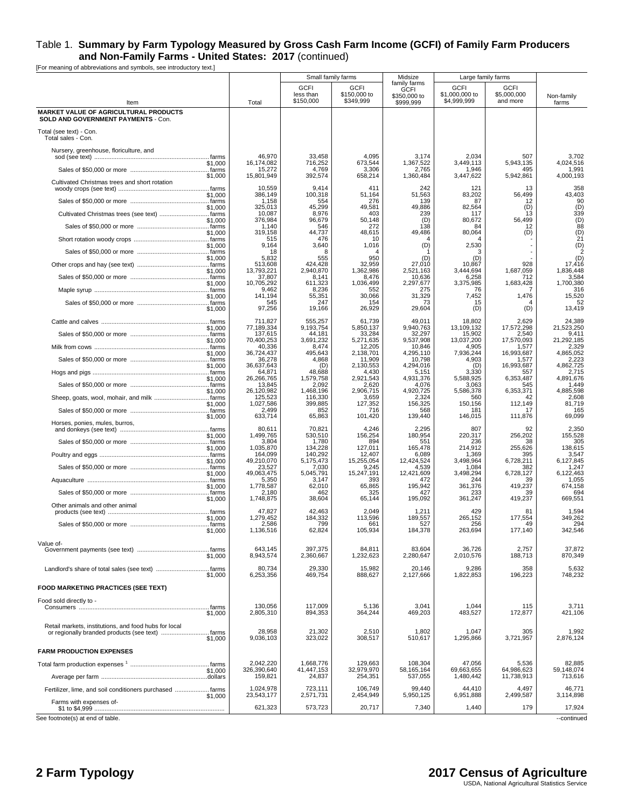|                                                                                            |                         | Small family farms                    |                                          | Midsize                                           | Large family farms                           |                                        |                               |
|--------------------------------------------------------------------------------------------|-------------------------|---------------------------------------|------------------------------------------|---------------------------------------------------|----------------------------------------------|----------------------------------------|-------------------------------|
| Item                                                                                       | Total                   | <b>GCFI</b><br>less than<br>\$150,000 | <b>GCFI</b><br>\$150,000 to<br>\$349,999 | family farms<br>GCFI<br>\$350,000 to<br>\$999.999 | <b>GCFI</b><br>\$1,000,000 to<br>\$4,999,999 | <b>GCFI</b><br>\$5,000,000<br>and more | Non-family<br>farms           |
| <b>MARKET VALUE OF AGRICULTURAL PRODUCTS</b><br><b>SOLD AND GOVERNMENT PAYMENTS - Con.</b> |                         |                                       |                                          |                                                   |                                              |                                        |                               |
| Total (see text) - Con.<br>Total sales - Con.                                              |                         |                                       |                                          |                                                   |                                              |                                        |                               |
| Nursery, greenhouse, floriculture, and                                                     | 46,970                  | 33,458                                | 4,095                                    | 3,174                                             | 2,034                                        | 507                                    | 3,702                         |
| \$1,000                                                                                    | 16,174,082<br>15,272    | 716,252<br>4,769                      | 673,544<br>3,306                         | 1,367,522<br>2,765                                | 3,449,113<br>1,946                           | 5,943,135<br>495                       | 4,024,516<br>1,991            |
| \$1,000<br>Cultivated Christmas trees and short rotation                                   | 15,801,949<br>10,559    | 392,574<br>9.414                      | 658,214<br>411                           | 1,360,484<br>242                                  | 3,447,622<br>121                             | 5,942,861<br>13                        | 4,000,193<br>358              |
| \$1,000                                                                                    | 386,149<br>1,158        | 100,318<br>554                        | 51,164<br>276                            | 51,563<br>139                                     | 83,202<br>87                                 | 56,499<br>12                           | 43,403<br>90                  |
| \$1,000                                                                                    | 325.013<br>10,087       | 45,299<br>8,976                       | 49,581<br>403                            | 49,886<br>239                                     | 82,564<br>117                                | (D)<br>13                              | (D)<br>339                    |
| \$1,000                                                                                    | 376,984<br>1,140        | 96,679<br>546                         | 50,148<br>272                            | (D)<br>138                                        | 80,672<br>84                                 | 56,499<br>12                           | $\frac{(D)}{88}$              |
| \$1,000                                                                                    | 319.158<br>515<br>9,164 | 44,737<br>476                         | 48,615<br>10                             | 49,486                                            | 80,064                                       | (D)                                    | $(D)$<br>$21$<br>$(D)$<br>$2$ |
| \$1,000                                                                                    | 18<br>5,832             | 3,640<br>8<br>555                     | 1,016<br>950                             | (D)<br>(D)                                        | 2,530<br>з<br>(D)                            |                                        | (D)                           |
| \$1,000                                                                                    | 513,608<br>13,793,221   | 424,428<br>2,940,870                  | 32,959<br>1,362,986                      | 27,010                                            | 10,867<br>3,444,694                          | 928<br>1,687,059                       | 17,416<br>1,836,448           |
| \$1,000                                                                                    | 37,807<br>10,705,292    | 8.141<br>611,323                      | 8,476                                    | 2,521,163<br>10,636                               | 6,258                                        | 712<br>1,683,428                       | 3,584<br>1,700,380            |
|                                                                                            | 9,462<br>141,194        | 8,236                                 | 1,036,499<br>552<br>30,066               | 2,297,677<br>275                                  | 3,375,985<br>76                              | 1,476                                  | 316<br>15,520                 |
| \$1,000<br>\$1,000                                                                         | 545<br>97,256           | 55,351<br>247<br>19,166               | 154<br>26,929                            | 31,329<br>73<br>29,604                            | 7,452<br>15<br>(D)                           | 4<br>(D)                               | 52<br>13,419                  |
| \$1,000                                                                                    | 711,827<br>77,189,334   | 555,257<br>9,193,754                  | 61,739<br>5,850,137                      | 49.011<br>9,940,763                               | 18,802<br>13,109,132                         | 2,629<br>17,572,298                    | 24,389<br>21,523,250          |
| \$1,000                                                                                    | 137,615<br>70,400,253   | 44,181<br>3,691,232                   | 33,284<br>5,271,635                      | 32,297<br>9,537,908                               | 15,902<br>13,037,200                         | 2,540<br>17,570,093                    | 9,411<br>21,292,185           |
| \$1,000                                                                                    | 40,336<br>36,724,437    | 8,474<br>495,643                      | 12,205<br>2,138,701                      | 10,846<br>4,295,110                               | 4,905<br>7,936,244                           | 1,577<br>16,993,687                    | 2,329<br>4,865,052            |
| \$1,000                                                                                    | 36,278<br>36,637,643    | 4,868<br>(D)                          | 11,909<br>2,130,553                      | 10,798<br>4.294.016                               | 4,903<br>(D)                                 | 1,577<br>16,993,687                    | 2,223<br>4,862,725            |
| \$1,000                                                                                    | 64,871<br>26,266,765    | 48,688<br>1,579,758                   | 4,430<br>2,921,543                       | 5,151<br>4,931,376                                | 3,330<br>5,588,925                           | 557<br>6,353,487                       | 2,715<br>4,891,676            |
| \$1,000                                                                                    | 13,845<br>26,120,982    | 2,092<br>1,468,196                    | 2,620<br>2,906,715                       | 4,076<br>4,920,725                                | 3,063<br>5,586,378                           | 545<br>6,353,371                       | 1,449<br>4,885,598            |
| \$1,000                                                                                    | 125,523<br>1,027,586    | 116,330<br>399,885                    | 3,659<br>127,352                         | 2,324<br>156,325                                  | 560<br>150,156                               | 42<br>112,149                          | 2,608<br>81,719               |
| \$1,000                                                                                    | 2,499<br>633,714        | 852<br>65,863                         | 716<br>101,420                           | 568<br>139,440                                    | 181<br>146,015                               | 17<br>111,876                          | 165<br>69,099                 |
| Horses, ponies, mules, burros,                                                             | 80,611                  | 70,821                                | 4,246                                    | 2,295                                             | 807                                          | 92                                     | 2,350                         |
| \$1,000                                                                                    | 1,499,765<br>3,804      | 530,510<br>1,780                      | 156,254<br>894                           | 180,954<br>551                                    | 220,317<br>236                               | 256,202<br>38                          | 155,528<br>305                |
| \$1,000                                                                                    | 1,035,870<br>164,099    | 134,228<br>140,292                    | 127,011<br>12,407                        | 165,478<br>6,089                                  | 214,912<br>1,369                             | 255,626<br>395                         | 138,615<br>3,547              |
| \$1,000                                                                                    | 49,210,070<br>23,527    | 5,175,473<br>7.030                    | 15,255,054<br>9,245                      | 12,424,524<br>4,539                               | 3,498,964<br>1,084                           | 6,728,211<br>382                       | 6,127,845<br>1,247            |
| \$1,000                                                                                    | 49,063,475<br>5,350     | 5,045,791<br>3,147                    | 15,247,191<br>393                        | 12,421,609<br>472                                 | 3,498,294<br>244                             | 6,728,127<br>39                        | 6,122,463<br>1,055            |
| \$1,000                                                                                    | 1,778,587<br>2,180      | 62,010<br>462                         | 65,865<br>325                            | 195,942<br>427                                    | 361,376<br>233                               | 419,237<br>39                          | 674,158<br>694                |
| \$1,000<br>Other animals and other animal                                                  | 1,748,875               | 38,604                                | 65,144                                   | 195,092                                           | 361,247                                      | 419,237                                | 669,551                       |
| \$1,000                                                                                    | 47,827<br>1,279,452     | 42,463<br>184,332                     | 2,049<br>113,596                         | 1,211<br>189,557                                  | 429<br>265,152                               | 81<br>177,554                          | 1,594<br>349,262              |
| \$1,000                                                                                    | 2,586<br>1,136,516      | 799<br>62,824                         | 661<br>105,934                           | 527<br>184,378                                    | 256<br>263,694                               | 49<br>177,140                          | 294<br>342,546                |
| Value of-<br>\$1,000                                                                       | 643,145<br>8,943,574    | 397,375<br>2,360,667                  | 84,811<br>1,232,623                      | 83,604<br>2,280,647                               | 36,726<br>2,010,576                          | 2,757<br>188,713                       | 37,872<br>870,349             |
| \$1,000                                                                                    | 80,734<br>6,253,356     | 29,330<br>469,754                     | 15,982<br>888,627                        | 20,146<br>2,127,666                               | 9,286<br>1,822,853                           | 358<br>196,223                         | 5,632<br>748,232              |
| <b>FOOD MARKETING PRACTICES (SEE TEXT)</b>                                                 |                         |                                       |                                          |                                                   |                                              |                                        |                               |
| Food sold directly to -                                                                    | 130,056                 | 117,009                               | 5,136                                    | 3,041                                             | 1,044                                        | 115                                    | 3,711                         |
| \$1,000                                                                                    | 2,805,310               | 894,353                               | 364,244                                  | 469,203                                           | 483,527                                      | 172,877                                | 421,106                       |
| Retail markets, institutions, and food hubs for local<br>\$1,000                           | 28,958<br>9.036.103     | 21,302<br>323,022                     | 2,510<br>308,517                         | 1,802<br>510,617                                  | 1,047<br>1,295,866                           | 305<br>3,721,957                       | 1,992<br>2,876,124            |
| <b>FARM PRODUCTION EXPENSES</b>                                                            |                         |                                       |                                          |                                                   |                                              |                                        |                               |
|                                                                                            | 2,042,220               | 1,668,776                             | 129,663                                  | 108,304                                           | 47,056                                       | 5,536                                  | 82,885                        |
| \$1,000                                                                                    | 326,390,640<br>159,821  | 41,447,153<br>24,837                  | 32,979,970<br>254,351                    | 58, 165, 164<br>537,055                           | 69,663,655<br>1,480,442                      | 64,986,623<br>11,738,913               | 59,148,074<br>713,616         |
| Fertilizer, lime, and soil conditioners purchased  farms                                   | 1,024,978               | 723,111                               | 106,749                                  | 99,440                                            | 44,410                                       | 4,497                                  | 46,771                        |
| \$1,000<br>Farms with expenses of-                                                         | 23,543,177<br>621,323   | 2,571,731<br>573,723                  | 2,454,949<br>20,717                      | 5,950,125<br>7,340                                | 6,951,888<br>1,440                           | 2,499,587<br>179                       | 3,114,898<br>17,924           |
| See footnote(s) at end of table.                                                           |                         |                                       |                                          |                                                   |                                              |                                        | --continued                   |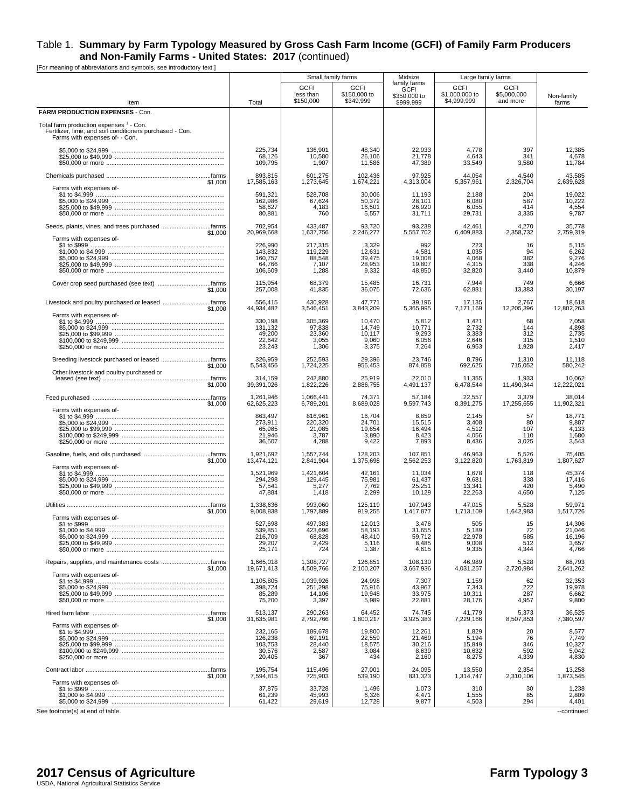[For meaning of abbreviations and symbols, see introductory text.]

|                                                                                                                                                  |                                                    |                                                | Small family farms                           | Midsize<br>family farms                      |                                              | Large family farms                     |                                              |
|--------------------------------------------------------------------------------------------------------------------------------------------------|----------------------------------------------------|------------------------------------------------|----------------------------------------------|----------------------------------------------|----------------------------------------------|----------------------------------------|----------------------------------------------|
| Item                                                                                                                                             | Total                                              | <b>GCFI</b><br>less than<br>\$150,000          | <b>GCFI</b><br>\$150,000 to<br>\$349,999     | <b>GCFI</b><br>\$350,000 to<br>\$999,999     | <b>GCFI</b><br>\$1,000,000 to<br>\$4.999.999 | <b>GCFI</b><br>\$5,000,000<br>and more | Non-family<br>farms                          |
| FARM PRODUCTION EXPENSES - Con.                                                                                                                  |                                                    |                                                |                                              |                                              |                                              |                                        |                                              |
| Total farm production expenses <sup>1</sup> - Con.<br>Fertilizer, lime, and soil conditioners purchased - Con.<br>Farms with expenses of- - Con. |                                                    |                                                |                                              |                                              |                                              |                                        |                                              |
|                                                                                                                                                  | 225,734<br>68,126<br>109,795                       | 136,901<br>10,580<br>1,907                     | 48,340<br>26,106<br>11,586                   | 22,933<br>21,778<br>47,389                   | 4,778<br>4,643<br>33,549                     | 397<br>341<br>3,580                    | 12,385<br>4,678<br>11,784                    |
| \$1,000<br>Farms with expenses of-                                                                                                               | 893,815<br>17,585,163                              | 601,275<br>1,273,645                           | 102.436<br>1,674,221                         | 97,925<br>4,313,004                          | 44,054<br>5,357,961                          | 4,540<br>2,326,704                     | 43,585<br>2,639,628                          |
|                                                                                                                                                  | 591,321<br>162,986<br>58,627<br>80,881             | 528,708<br>67,624<br>4,183<br>760              | 30,006<br>50,372<br>16,501<br>5,557          | 11,193<br>28,101<br>26,920<br>31,711         | 2,188<br>6,080<br>6,055<br>29,731            | 204<br>587<br>414<br>3,335             | 19,022<br>10,222<br>4,554<br>9,787           |
| \$1,000                                                                                                                                          | 702,954<br>20,969,668                              | 433,487<br>1,637,756                           | 93,720<br>2,246,277                          | 93,238<br>5,557,702                          | 42,461<br>6,409,883                          | 4,270<br>2,358,732                     | 35,778<br>2,759,319                          |
| Farms with expenses of-                                                                                                                          | 226,990<br>143,832<br>160,757<br>64,766<br>106,609 | 217,315<br>119,229<br>88,548<br>7,107<br>1,288 | 3,329<br>12,631<br>39,475<br>28,953<br>9,332 | 992<br>4,581<br>19,008<br>19,807<br>48,850   | 223<br>1,035<br>4,068<br>4,315<br>32,820     | 16<br>94<br>382<br>338<br>3,440        | 5,115<br>6,262<br>9,276<br>4,246<br>10,879   |
| \$1,000                                                                                                                                          | 115,954<br>257,008                                 | 68,379<br>41,835                               | 15,485<br>36,075                             | 16,731<br>72,636                             | 7,944<br>62,881                              | 749<br>13,383                          | 6,666<br>30,197                              |
| Livestock and poultry purchased or leased farms<br>\$1,000                                                                                       | 556,415<br>44,934,482                              | 430,928<br>3,546,451                           | 47,771<br>3,843,209                          | 39,196<br>5,365,995                          | 17,135<br>7,171,169                          | 2,767<br>12,205,396                    | 18,618<br>12,802,263                         |
| Farms with expenses of-                                                                                                                          | 330,198<br>131,132<br>49,200<br>22,642<br>23,243   | 305,369<br>97,838<br>23,360<br>3,055<br>1,306  | 10,470<br>14,749<br>10,117<br>9,060<br>3,375 | 5,812<br>10,771<br>9,293<br>6,056<br>7,264   | 1,421<br>2,732<br>3,383<br>2,646<br>6,953    | 68<br>144<br>312<br>315<br>1,928       | 7,058<br>4,898<br>2,735<br>1,510<br>2,417    |
| \$1,000                                                                                                                                          | 326,959<br>5,543,456                               | 252,593<br>1,724,225                           | 29,396<br>956,453                            | 23,746<br>874,858                            | 8,796<br>692,625                             | 1,310<br>715,052                       | 11,118<br>580,242                            |
| Other livestock and poultry purchased or<br>\$1,000                                                                                              | 314,159<br>39,391,026                              | 242,880<br>1,822,226                           | 25,919<br>2,886,755                          | 22,010<br>4,491,137                          | 11,355<br>6,478,544                          | 1,933<br>11,490,344                    | 10,062<br>12,222,021                         |
| \$1,000                                                                                                                                          | 1,261,946<br>62,625,223                            | 1,066,441<br>6,789,201                         | 74,371<br>8,689,028                          | 57,184<br>9,597,743                          | 22,557<br>8,391,275                          | 3,379<br>17,255,655                    | 38,014<br>11,902,321                         |
| Farms with expenses of-                                                                                                                          | 863,497<br>273,911<br>65,985<br>21,946<br>36,607   | 816,961<br>220,320<br>21,085<br>3,787<br>4,288 | 16,704<br>24,701<br>19,654<br>3,890<br>9,422 | 8,859<br>15,515<br>16,494<br>8,423<br>7,893  | 2,145<br>3,408<br>4,512<br>4,056<br>8,436    | 57<br>80<br>107<br>110<br>3,025        | 18,771<br>9,887<br>4,133<br>1,680<br>3,543   |
| \$1,000                                                                                                                                          | 1,921,692<br>13,474,121                            | 1,557,744<br>2,841,904                         | 128,203<br>1,375,698                         | 107,851<br>2,562,253                         | 46,963<br>3,122,820                          | 5,526<br>1,763,819                     | 75,405<br>1,807,627                          |
| Farms with expenses of-                                                                                                                          | 1.521.969<br>294,298<br>57,541<br>47,884           | 1,421,604<br>129,445<br>5,277<br>1,418         | 42,161<br>75,981<br>7,762<br>2,299           | 11,034<br>61,437<br>25,251<br>10,129         | 1,678<br>9,681<br>13,341<br>22,263           | 118<br>338<br>420<br>4,650             | 45,374<br>17,416<br>5,490<br>7,125           |
| \$1,000                                                                                                                                          | 1.338.636<br>9,008,838                             | 993,060<br>1,797,889                           | 125,119<br>919,255                           | 107,943<br>1,417,877                         | 47,015<br>1,713,109                          | 5,528<br>1,642,983                     | 59,971<br>1,517,726                          |
| Farms with expenses of-                                                                                                                          | 527,698<br>539,851<br>216,709<br>29,207<br>25,171  | 497,383<br>423,696<br>68,828<br>2,429<br>724   | 12,013<br>58,193<br>48,410<br>5,116<br>1,387 | 3,476<br>31,655<br>59,712<br>8,485<br>4,615  | 505<br>5,189<br>22,978<br>9,008<br>9,335     | 15<br>72<br>585<br>512<br>4,344        | 14,306<br>21,046<br>16,196<br>3,657<br>4,766 |
| Repairs, supplies, and maintenance costs farms<br>\$1,000                                                                                        | 1,665,018<br>19,671,413                            | 1,308,727<br>4,509,766                         | 126,851<br>2,100,207                         | 108,130<br>3,667,936                         | 46,989<br>4,031,257                          | 5,528<br>2,720,984                     | 68,793<br>2,641,262                          |
| Farms with expenses of-                                                                                                                          | 1,105,805<br>398,724<br>85,289<br>75,200           | 1,039,926<br>251,298<br>14,106<br>3,397        | 24,998<br>75,916<br>19,948<br>5,989          | 7,307<br>43,967<br>33,975<br>22,881          | 1,159<br>7,343<br>10,311<br>28,176           | 62<br>222<br>287<br>4,957              | 32,353<br>19,978<br>6,662<br>9,800           |
| \$1,000                                                                                                                                          | 513,137<br>31,635,981                              | 290,263<br>2,792,766                           | 64,452<br>1,800,217                          | 74,745<br>3,925,383                          | 41,779<br>7,229,166                          | 5,373<br>8,507,853                     | 36,525<br>7,380,597                          |
| Farms with expenses of-                                                                                                                          | 232,165<br>126,238<br>103.753<br>30,576<br>20,405  | 189.678<br>69,191<br>28,440<br>2,587<br>367    | 19,800<br>22,559<br>18,575<br>3,084<br>434   | 12,261<br>21,469<br>30,216<br>8,639<br>2,160 | 1,829<br>5,194<br>15,849<br>10,632<br>8,275  | 20<br>76<br>346<br>592<br>4,339        | 8,577<br>7,749<br>10,327<br>5,042<br>4,830   |
| \$1,000                                                                                                                                          | 195,754<br>7,594,815                               | 115,496<br>725,903                             | 27,001<br>539,190                            | 24,095<br>831,323                            | 13,550<br>1,314,747                          | 2,354<br>2,310,106                     | 13,258<br>1,873,545                          |
| Farms with expenses of-                                                                                                                          | 37,875<br>61,239<br>61,422                         | 33,728<br>45,993<br>29,619                     | 1,496<br>6,326<br>12,728                     | 1,073<br>4,471<br>9,877                      | 310<br>1,555<br>4,503                        | 30<br>85<br>294                        | 1,238<br>2,809<br>4,401                      |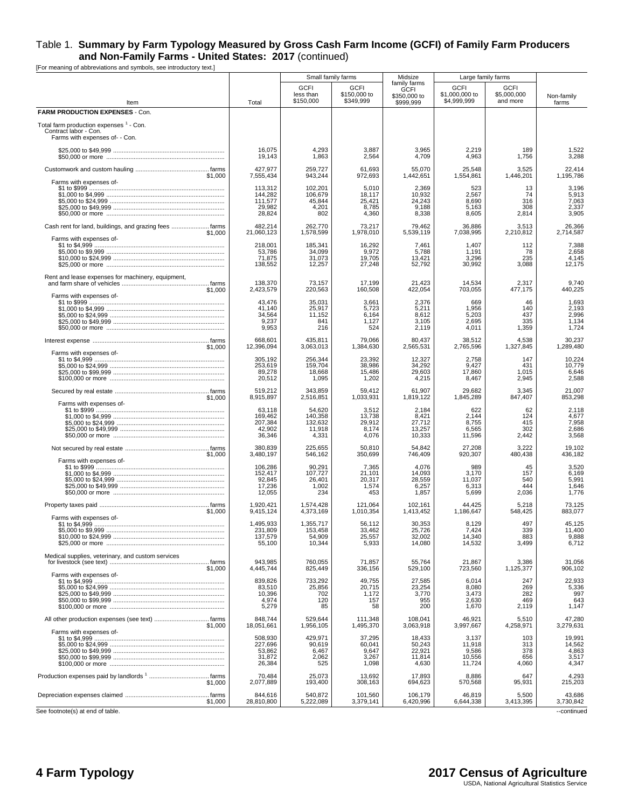|                                                                                                    |                                                   |                                                 | Small family farms                          | Midsize                                                  | Large family farms                           |                                        |                                             |
|----------------------------------------------------------------------------------------------------|---------------------------------------------------|-------------------------------------------------|---------------------------------------------|----------------------------------------------------------|----------------------------------------------|----------------------------------------|---------------------------------------------|
| Item                                                                                               | Total                                             | <b>GCFI</b><br>less than<br>\$150,000           | <b>GCFI</b><br>\$150,000 to<br>\$349,999    | family farms<br><b>GCFI</b><br>\$350,000 to<br>\$999,999 | <b>GCFI</b><br>\$1,000,000 to<br>\$4.999.999 | <b>GCFI</b><br>\$5,000,000<br>and more | Non-family<br>farms                         |
| FARM PRODUCTION EXPENSES - Con.                                                                    |                                                   |                                                 |                                             |                                                          |                                              |                                        |                                             |
| Total farm production expenses 1 - Con.<br>Contract labor - Con.<br>Farms with expenses of- - Con. |                                                   |                                                 |                                             |                                                          |                                              |                                        |                                             |
|                                                                                                    | 16,075<br>19,143                                  | 4,293<br>1,863                                  | 3,887<br>2,564                              | 3,965<br>4,709                                           | 2,219<br>4,963                               | 189<br>1,756                           | 1,522<br>3,288                              |
| \$1,000                                                                                            | 427,977<br>7,555,434                              | 259,727<br>943,244                              | 61,693<br>972,693                           | 55,070<br>1,442,651                                      | 25,548<br>1,554,861                          | 3,525<br>1,446,201                     | 22,414<br>1,195,786                         |
| Farms with expenses of-                                                                            | 113,312<br>144,282<br>111,577<br>29,982<br>28,824 | 102,201<br>106,679<br>45,844<br>4,201<br>802    | 5,010<br>18,117<br>25,421<br>8,785<br>4,360 | 2,369<br>10,932<br>24,243<br>9,188<br>8,338              | 523<br>2,567<br>8,690<br>5,163<br>8,605      | 13<br>74<br>316<br>308<br>2,814        | 3,196<br>5,913<br>7,063<br>2,337<br>3,905   |
| \$1,000                                                                                            | 482,214<br>21,060,123                             | 262,770<br>1,578,599                            | 73,217<br>1,978,010                         | 79,462<br>5,539,119                                      | 36,886<br>7,038,995                          | 3,513<br>2,210,812                     | 26,366<br>2,714,587                         |
| Farms with expenses of-                                                                            | 218,001<br>53,786<br>71,875<br>138,552            | 185,341<br>34,099<br>31,073<br>12,257           | 16,292<br>9,972<br>19,705<br>27,248         | 7,461<br>5,788<br>13,421<br>52,792                       | 1,407<br>1,191<br>3,296<br>30,992            | 112<br>78<br>235<br>3,088              | 7,388<br>2,658<br>4,145<br>12,175           |
| Rent and lease expenses for machinery, equipment,<br>\$1,000                                       | 138,370<br>2,423,579                              | 73,157<br>220,563                               | 17,199<br>160,508                           | 21,423<br>422,054                                        | 14,534<br>703,055                            | 2,317<br>477,175                       | 9,740<br>440,225                            |
| Farms with expenses of-                                                                            | 43,476<br>41,140<br>34,564<br>9,237<br>9,953      | 35,031<br>25,917<br>11,152<br>841<br>216        | 3,661<br>5,723<br>6,164<br>1,127<br>524     | 2,376<br>5,211<br>8,612<br>3,105<br>2,119                | 669<br>1,956<br>5,203<br>2,695<br>4,011      | 46<br>140<br>437<br>335<br>1,359       | 1,693<br>2,193<br>2,996<br>1,134<br>1,724   |
| \$1,000                                                                                            | 668,601<br>12,396,094                             | 435,811<br>3,063,013                            | 79,066<br>1,384,630                         | 80,437<br>2,565,531                                      | 38,512<br>2,765,596                          | 4,538<br>1,327,845                     | 30,237<br>1,289,480                         |
| Farms with expenses of-                                                                            | 305,192<br>253.619<br>89,278<br>20,512            | 256,344<br>159,704<br>18,668<br>1,095           | 23,392<br>38,986<br>15,486<br>1,202         | 12,327<br>34,292<br>29,603<br>4,215                      | 2,758<br>9,427<br>17,860<br>8,467            | 147<br>431<br>1,015<br>2,945           | 10,224<br>10,779<br>6,646<br>2,588          |
| \$1,000                                                                                            | 519,212<br>8,915,897                              | 343,859<br>2,516,851                            | 59,412<br>1,033,931                         | 61,907<br>1,819,122                                      | 29,682<br>1,845,289                          | 3,345<br>847,407                       | 21,007<br>853,298                           |
| Farms with expenses of-                                                                            | 63,118<br>169,462<br>207,384<br>42,902<br>36,346  | 54,620<br>140,358<br>132,632<br>11,918<br>4,331 | 3,512<br>13,738<br>29,912<br>8,174<br>4,076 | 2,184<br>8,421<br>27,712<br>13,257<br>10,333             | 622<br>2,144<br>8,755<br>6,565<br>11,596     | 62<br>124<br>415<br>302<br>2,442       | 2,118<br>4,677<br>7,958<br>2,686<br>3,568   |
| \$1,000                                                                                            | 380.839<br>3,480,197                              | 225,655<br>546,162                              | 50,810<br>350,699                           | 54.842<br>746,409                                        | 27,208<br>920,307                            | 3,222<br>480,438                       | 19.102<br>436,182                           |
| Farms with expenses of-                                                                            | 106,286<br>152,417<br>92,845<br>17,236<br>12,055  | 90,291<br>107,727<br>26,401<br>1,002<br>234     | 7,365<br>21,101<br>20,317<br>1,574<br>453   | 4,076<br>14,093<br>28,559<br>6,257<br>1,857              | 989<br>3,170<br>11,037<br>6,313<br>5,699     | 45<br>157<br>540<br>444<br>2,036       | 3,520<br>6,169<br>5,991<br>1,646<br>1,776   |
| \$1,000                                                                                            | 1.920.421<br>9,415,124                            | 1,574,428<br>4,373,169                          | 121,064<br>1,010,354                        | 102,161<br>1,413,452                                     | 44,425<br>1,186,647                          | 5,218<br>548,425                       | 73,125<br>883,077                           |
| Farms with expenses of-                                                                            | 1.495.933<br>9∪8,⊺د∠<br>137,579<br>55,100         | 1,355,717<br>153,458<br>54,909<br>10,344        | 56,112<br>33.40Z<br>25,557<br>5,933         | 30,353<br>25,720<br>32,002<br>14,080                     | 8,129<br>7.424<br>14,340<br>14,532           | 497<br>339<br>883<br>3,499             | 45,125<br>11.400<br>9,888<br>6,712          |
| Medical supplies, veterinary, and custom services<br>\$1,000                                       | 943,985<br>4,445,744                              | 760,055<br>825,449                              | 71,857<br>336,156                           | 55,764<br>529,100                                        | 21,867<br>723,560                            | 3,386<br>1,125,377                     | 31,056<br>906,102                           |
| Farms with expenses of-                                                                            | 839,826<br>83,510<br>10,396<br>4,974<br>5,279     | 733,292<br>25,856<br>702<br>120<br>85           | 49,755<br>20,715<br>1,172<br>157<br>58      | 27,585<br>23,254<br>3,770<br>955<br>200                  | 6,014<br>8,080<br>3,473<br>2,630<br>1,670    | 247<br>269<br>282<br>469<br>2,119      | 22,933<br>5,336<br>997<br>643<br>1,147      |
| \$1,000                                                                                            | 848,744<br>18,051,661                             | 529,644<br>1,956,105                            | 111,348<br>1,495,370                        | 108,041<br>3.063.918                                     | 46,921<br>3,997,667                          | 5,510<br>4,258,971                     | 47,280<br>3,279,631                         |
| Farms with expenses of-                                                                            | 508,930<br>227,696<br>53,862<br>31,872<br>26,384  | 429,971<br>90,619<br>6,467<br>2,062<br>525      | 37,295<br>60,041<br>9,647<br>3,267<br>1,098 | 18,433<br>50,243<br>22,921<br>11,814<br>4,630            | 3,137<br>11,918<br>9,586<br>10,556<br>11,724 | 103<br>313<br>378<br>656<br>4,060      | 19,991<br>14,562<br>4,863<br>3,517<br>4,347 |
| \$1,000                                                                                            | 70.484<br>2,077,889                               | 25,073<br>193,400                               | 13,692<br>308,163                           | 17,893<br>694,623                                        | 8,886<br>570,568                             | 647<br>95,931                          | 4.293<br>215,203                            |
| \$1,000                                                                                            | 844,616<br>28,810,800                             | 540,872<br>5,222,089                            | 101,560<br>3,379,141                        | 106,179<br>6,420,996                                     | 46,819<br>6,644,338                          | 5,500<br>3,413,395                     | 43,686<br>3,730,842                         |
| See footnote(s) at end of table.                                                                   |                                                   |                                                 |                                             |                                                          |                                              |                                        | --continued                                 |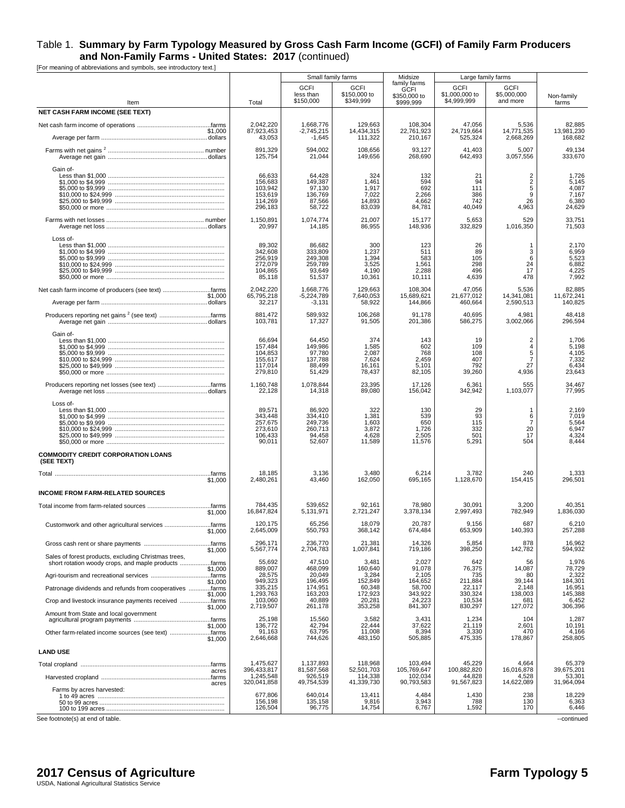[For meaning of abbreviations and symbols, see introductory text.]

|                                                                 |                                                               | Small family farms                                          |                                                    | Midsize                                                  |                                          | Large family farms                                        |                                                     |
|-----------------------------------------------------------------|---------------------------------------------------------------|-------------------------------------------------------------|----------------------------------------------------|----------------------------------------------------------|------------------------------------------|-----------------------------------------------------------|-----------------------------------------------------|
| Item                                                            | Total                                                         | <b>GCFI</b><br>less than<br>\$150,000                       | <b>GCFI</b><br>\$150,000 to<br>\$349,999           | family farms<br><b>GCFI</b><br>\$350,000 to<br>\$999,999 | GCFI<br>\$1,000,000 to<br>\$4,999,999    | <b>GCFI</b><br>\$5,000,000<br>and more                    | Non-family<br>farms                                 |
| <b>NET CASH FARM INCOME (SEE TEXT)</b>                          |                                                               |                                                             |                                                    |                                                          |                                          |                                                           |                                                     |
|                                                                 | 2,042,220                                                     | 1,668,776                                                   | 129,663                                            | 108,304                                                  | 47,056                                   | 5,536                                                     | 82,885                                              |
| \$1,000                                                         | 87,923,453                                                    | $-2,745,215$                                                | 14.434.315                                         | 22,761,923                                               | 24,719,664                               | 14,771,535                                                | 13,981,230                                          |
|                                                                 | 43,053                                                        | $-1,645$                                                    | 111,322                                            | 210,167                                                  | 525,324                                  | 2,668,269                                                 | 168,682                                             |
|                                                                 | 891,329                                                       | 594,002                                                     | 108,656                                            | 93,127                                                   | 41,403                                   | 5,007                                                     | 49,134                                              |
|                                                                 | 125,754                                                       | 21,044                                                      | 149,656                                            | 268,690                                                  | 642,493                                  | 3,057,556                                                 | 333,670                                             |
| Gain of-                                                        | 66,633<br>156,683<br>103,942<br>153,619<br>114,269<br>296,183 | 64,428<br>149,387<br>97,130<br>136,769<br>87,566<br>58,722  | 324<br>1,461<br>1,917<br>7,022<br>14,893<br>83,039 | 132<br>594<br>692<br>2,266<br>4,662<br>84,781            | 21<br>94<br>111<br>386<br>742<br>40,049  | $\overline{2}$<br>$\overline{2}$<br>5<br>9<br>26<br>4,963 | 1,726<br>5,145<br>4,087<br>7,167<br>6,380<br>24,629 |
|                                                                 | 1,150,891                                                     | 1.074.774                                                   | 21,007                                             | 15,177                                                   | 5,653                                    | 529                                                       | 33,751                                              |
|                                                                 | 20,997                                                        | 14,185                                                      | 86,955                                             | 148,936                                                  | 332,829                                  | 1,016,350                                                 | 71,503                                              |
| Loss of-                                                        | 89,302<br>342,608<br>256,919<br>272,079<br>104,865<br>85,118  | 86,682<br>333,809<br>249,308<br>259,789<br>93,649<br>51,537 | 300<br>1,237<br>1,394<br>3,525<br>4,190<br>10,361  | 123<br>511<br>583<br>1,561<br>2,288<br>10,111            | 26<br>89<br>105<br>298<br>496<br>4,639   | -1<br>3<br>6<br>24<br>17<br>478                           | 2,170<br>6,959<br>5,523<br>6,882<br>4,225<br>7,992  |
| Net cash farm income of producers (see text) farms              | 2,042,220                                                     | 1,668,776                                                   | 129,663                                            | 108,304                                                  | 47,056                                   | 5,536                                                     | 82,885                                              |
| \$1,000                                                         | 65,795,218                                                    | $-5,224,789$                                                | 7,640,053                                          | 15,689,621                                               | 21,677,012                               | 14,341,081                                                | 11,672,241                                          |
|                                                                 | 32,217                                                        | $-3,131$                                                    | 58,922                                             | 144,866                                                  | 460,664                                  | 2,590,513                                                 | 140,825                                             |
| Producers reporting net gains <sup>2</sup> (see text) farms     | 881,472                                                       | 589,932                                                     | 106,268                                            | 91,178                                                   | 40,695                                   | 4,981                                                     | 48,418                                              |
|                                                                 | 103,781                                                       | 17,327                                                      | 91,505                                             | 201,386                                                  | 586,275                                  | 3,002,066                                                 | 296,594                                             |
| Gain of-                                                        | 66,694<br>157,484<br>104,853<br>155,617<br>117,014<br>279,810 | 64,450<br>149,986<br>97,780<br>137,788<br>88,499<br>51,429  | 374<br>1,585<br>2,087<br>7,624<br>16,161<br>78,437 | 143<br>602<br>768<br>2,459<br>5,101<br>82,105            | 19<br>109<br>108<br>407<br>792<br>39,260 | $\overline{2}$<br>4<br>5<br>$\overline{7}$<br>27<br>4,936 | 1,706<br>5,198<br>4,105<br>7,332<br>6,434<br>23,643 |
|                                                                 | 1,160,748                                                     | 1,078,844                                                   | 23,395                                             | 17,126                                                   | 6,361                                    | 555                                                       | 34,467                                              |
|                                                                 | 22,128                                                        | 14,318                                                      | 89,080                                             | 156,042                                                  | 342,942                                  | 1,103,077                                                 | 77,995                                              |
| Loss of-                                                        | 89,571<br>343,448<br>257,675<br>273,610<br>106,433<br>90,011  | 86,920<br>334,410<br>249,736<br>260,713<br>94,458<br>52,607 | 322<br>1,381<br>1,603<br>3,872<br>4,628<br>11,589  | 130<br>539<br>650<br>1,726<br>2,505<br>11,576            | 29<br>93<br>115<br>332<br>501<br>5,291   | -1<br>6<br>7<br>20<br>17<br>504                           | 2,169<br>7,019<br>5,564<br>6,947<br>4,324<br>8,444  |
| <b>COMMODITY CREDIT CORPORATION LOANS</b><br>(SEE TEXT)         |                                                               |                                                             |                                                    |                                                          |                                          |                                                           |                                                     |
|                                                                 | 18,185                                                        | 3,136                                                       | 3,480                                              | 6,214                                                    | 3,782                                    | 240                                                       | 1,333                                               |
| \$1,000                                                         | 2,480,261                                                     | 43,460                                                      | 162,050                                            | 695,165                                                  | 1,128,670                                | 154,415                                                   | 296,501                                             |
| <b>INCOME FROM FARM-RELATED SOURCES</b>                         |                                                               |                                                             |                                                    |                                                          |                                          |                                                           |                                                     |
|                                                                 | 784,435                                                       | 539,652                                                     | 92,161                                             | 78,980                                                   | 30.091                                   | 3,200                                                     | 40,351                                              |
| \$1,000                                                         | 16,847,824                                                    | 5,131,971                                                   | 2,721,247                                          | 3,378,134                                                | 2,997,493                                | 782,949                                                   | 1,836,030                                           |
| Customwork and other agricultural services farms                | 120,175                                                       | 65,256                                                      | 18,079                                             | 20,787                                                   | 9,156                                    | 687                                                       | 6,210                                               |
| \$⊺.∪∪∪                                                         | 2,645,009                                                     | 550,793                                                     | 368,142                                            | 674,484                                                  | 653,909                                  | 140,393                                                   | 257,288                                             |
| \$1,000<br>Sales of forest products, excluding Christmas trees, | 296,171<br>5,567,774                                          | 236,770<br>2,704,783                                        | 21,381<br>1,007,841                                | 14,326<br>719,186                                        | 5,854<br>398,250                         | 878<br>142,782                                            | 16,962<br>594,932                                   |
| short rotation woody crops, and maple products farms            | 55,692                                                        | 47,510                                                      | 3,481                                              | 2,027                                                    | 642                                      | 56                                                        | 1,976                                               |
| \$1,000                                                         | 889,007                                                       | 468,099                                                     | 160,640                                            | 91,078                                                   | 76,375                                   | 14,087                                                    | 78,729                                              |
|                                                                 | 28,575                                                        | 20,049                                                      | 3,284                                              | 2,105                                                    | 735                                      | 80                                                        | 2,322                                               |
| \$1,000                                                         | 949,323                                                       | 196,495                                                     | 152,849                                            | 164,652                                                  | 211,884                                  | 39,144                                                    | 184,301                                             |
| Patronage dividends and refunds from cooperatives farms         | 335,215                                                       | 174,951                                                     | 60,348                                             | 58,700                                                   | 22,117                                   | 2,148                                                     | 16,951                                              |
| \$1,000                                                         | 1,293,763                                                     | 163,203                                                     | 172,923                                            | 343,922                                                  | 330,324                                  | 138,003                                                   | 145,388                                             |
|                                                                 | 103,060                                                       | 40,889                                                      | 20,281                                             | 24,223                                                   | 10,534                                   | 681                                                       | 6,452                                               |
| \$1,000                                                         | 2,719,507                                                     | 261,178                                                     | 353,258                                            | 841,307                                                  | 830,297                                  | 127,072                                                   | 306,396                                             |
| Amount from State and local government                          | 25,198                                                        | 15,560                                                      | 3,582                                              | 3,431                                                    | 1,234                                    | 104                                                       | 1,287                                               |
| \$1,000                                                         | 136,772                                                       | 42,794                                                      | 22,444                                             | 37,622                                                   | 21,119                                   | 2,601                                                     | 10,191                                              |
| Other farm-related income sources (see text) farms              | 91,163                                                        | 63,795                                                      | 11,008                                             | 8,394                                                    | 3,330                                    | 470                                                       | 4,166                                               |
| \$1,000                                                         | 2,646,668                                                     | 744,626                                                     | 483,150                                            | 505,885                                                  | 475,335                                  | 178,867                                                   | 258,805                                             |
| <b>LAND USE</b>                                                 |                                                               |                                                             |                                                    |                                                          |                                          |                                                           |                                                     |
|                                                                 | 1,475,627                                                     | 1,137,893                                                   | 118,968                                            | 103,494                                                  | 45,229                                   | 4,664                                                     | 65,379                                              |
| acres                                                           | 396,433,817                                                   | 81,587,568                                                  | 52,501,703                                         | 105,769,647                                              | 100,882,820                              | 16,016,878                                                | 39,675,201                                          |
|                                                                 | 1,245,548                                                     | 926,519                                                     | 114,338                                            | 102,034                                                  | 44,828                                   | 4,528                                                     | 53,301                                              |
| acres                                                           | 320,041,858                                                   | 49,754,539                                                  | 41,339,730                                         | 90,793,583                                               | 91,567,823                               | 14,622,089                                                | 31,964,094                                          |
| Farms by acres harvested:                                       | 677,806<br>156,198<br>126,504                                 | 640,014<br>135,158<br>96,775                                | 13,411<br>9,816<br>14,754                          | 4,484<br>3,943<br>6,767                                  | 1,430<br>788<br>1,592                    | 238<br>130<br>170                                         | 18,229<br>6,363<br>6,446                            |

See footnote(s) at end of table. --continued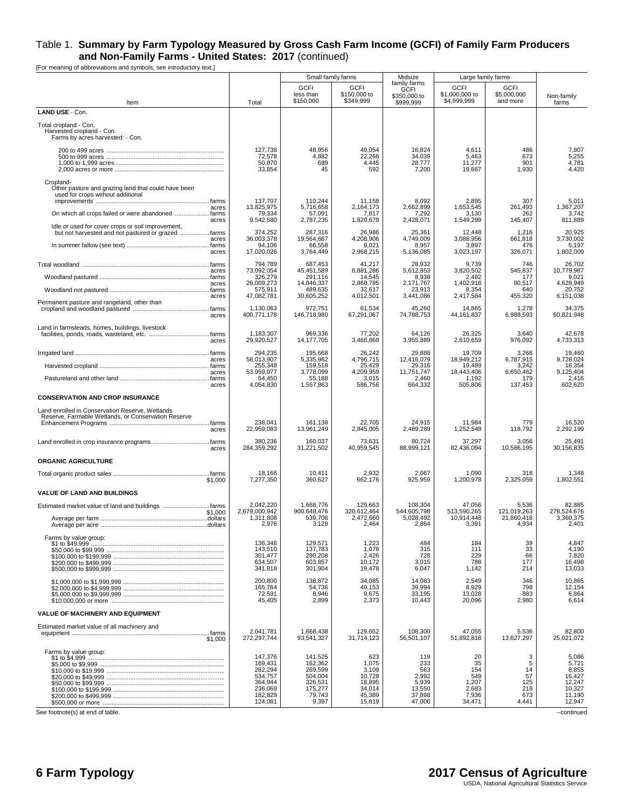[For meaning of abbreviations and symbols, see introductory text.]

|                                                                                                                   |                                                                                      |                                                                                   | Small family farms                                                      | Midsize                                                           |                                                             | Large family farms                               |                                                                           |
|-------------------------------------------------------------------------------------------------------------------|--------------------------------------------------------------------------------------|-----------------------------------------------------------------------------------|-------------------------------------------------------------------------|-------------------------------------------------------------------|-------------------------------------------------------------|--------------------------------------------------|---------------------------------------------------------------------------|
| Item                                                                                                              | Total                                                                                | <b>GCFI</b><br>less than<br>\$150,000                                             | <b>GCFI</b><br>\$150,000 to<br>\$349,999                                | family farms<br>GCFI<br>\$350,000 to<br>\$999.999                 | <b>GCFI</b><br>\$1,000,000 to<br>\$4,999,999                | <b>GCFI</b><br>\$5,000,000<br>and more           | Non-family<br>farms                                                       |
| LAND USE - Con.                                                                                                   |                                                                                      |                                                                                   |                                                                         |                                                                   |                                                             |                                                  |                                                                           |
| Total cropland - Con.<br>Harvested cropland - Con.<br>Farms by acres harvested: - Con.                            |                                                                                      |                                                                                   |                                                                         |                                                                   |                                                             |                                                  |                                                                           |
|                                                                                                                   | 127,738<br>72,578<br>50,870<br>33,854                                                | 48,956<br>4,882<br>689<br>45                                                      | 49,054<br>22,266<br>4,445<br>592                                        | 16,824<br>34,039<br>28,777<br>7,200                               | 4,611<br>5,463<br>11,277<br>19,667                          | 486<br>673<br>901<br>1,930                       | 7,807<br>5,255<br>4,781<br>4,420                                          |
| Cropland-<br>Other pasture and grazing land that could have been<br>used for crops without additional             | 137,707                                                                              | 110,244                                                                           | 11,158                                                                  | 8,092                                                             | 2,895                                                       | 307                                              | 5,011                                                                     |
| acres<br>On which all crops failed or were abandoned  farms<br>acres                                              | 13,825,975<br>79,334<br>9,542,580                                                    | 5.716.658<br>57,091<br>2,787,235                                                  | 2,164,173<br>7,817<br>1,820,679                                         | 2,662,899<br>7,292<br>2,428,071                                   | 1,653,545<br>3,130<br>1,549,299                             | 261,493<br>262<br>145,407                        | 1.367.207<br>3,742<br>811,889                                             |
| Idle or used for cover crops or soil improvement,<br>but not harvested and not pastured or grazed  farms<br>acres | 374,252<br>36,003,378                                                                | 287,316<br>19,564,687                                                             | 26,986<br>4,208,906                                                     | 25,361<br>4,749,009                                               | 12,448<br>3,088,956                                         | 1,216<br>661,818                                 | 20,925<br>3,730,002                                                       |
| acres                                                                                                             | 94,106<br>17,020,026                                                                 | 66,558<br>3,764,449                                                               | 9,021<br>2,968,215                                                      | 8,957<br>5,136,085                                                | 3,897<br>3,023,197                                          | 476<br>326,071                                   | 5,197<br>1,802,009                                                        |
|                                                                                                                   | 794,789<br>73,092,054                                                                | 687,453<br>45,451,589                                                             | 41,217<br>6,881,286                                                     | 28,932<br>5,612,853                                               | 9,739<br>3,820,502                                          | 746<br>545,837                                   | 26,702<br>10.779.987                                                      |
| acres                                                                                                             | 326,279                                                                              | 291,116                                                                           | 14,545                                                                  | 8,938                                                             | 2,482                                                       | 177                                              | 9,021                                                                     |
| acres                                                                                                             | 26,009,273<br>575,911                                                                | 14,846,337<br>489,635                                                             | 2,868,785<br>32,617                                                     | 2,171,767<br>23,913                                               | 1,402,918<br>8,354                                          | 90,517<br>640                                    | 4,628,949<br>20,752                                                       |
| acres<br>Permanent pasture and rangeland, other than<br>acres                                                     | 47,082,781<br>1,130,063<br>400,771,178                                               | 30,605,252<br>972,751<br>146,718,980                                              | 4,012,501<br>61,534<br>67,291,067                                       | 3,441,086<br>45,260<br>74.788.753                                 | 2,417,584<br>14,865<br>44, 161, 837                         | 455,320<br>1,278<br>6,988,593                    | 6,151,038<br>34,375<br>60.821.948                                         |
|                                                                                                                   |                                                                                      |                                                                                   |                                                                         |                                                                   |                                                             |                                                  |                                                                           |
| Land in farmsteads, homes, buildings, livestock<br>acres                                                          | 1,183,307<br>29,920,527                                                              | 969,336<br>14,177,705                                                             | 77,202<br>3,466,869                                                     | 64,126<br>3,955,889                                               | 26,325<br>2,610,659                                         | 3,640<br>976,092                                 | 42,678<br>4,733,313                                                       |
| acres                                                                                                             | 294,235<br>58,013,907                                                                | 195.668<br>5,335,962                                                              | 26,242<br>4,796,715                                                     | 29,888<br>12.416.079                                              | 19,709<br>18,949,212                                        | 3,268<br>6,787,915                               | 19,460<br>9,728,024                                                       |
|                                                                                                                   | 255,348                                                                              | 159,518                                                                           | 25,429                                                                  | 29,316                                                            | 19,489                                                      | 3,242                                            | 18,354                                                                    |
| acres<br>acres                                                                                                    | 53,959,077<br>64,450<br>4,054,830                                                    | 3,778,099<br>55,188<br>1,557,863                                                  | 4,209,959<br>3,015<br>586,756                                           | 11,751,747<br>2,460<br>664,332                                    | 18,443,406<br>1,192<br>505,806                              | 6,650,462<br>179<br>137,453                      | 9,125,404<br>2,416<br>602,620                                             |
| <b>CONSERVATION AND CROP INSURANCE</b>                                                                            |                                                                                      |                                                                                   |                                                                         |                                                                   |                                                             |                                                  |                                                                           |
| Land enrolled in Conservation Reserve, Wetlands<br>Reserve, Farmable Wetlands, or Conservation Reserve            | 238,041                                                                              | 161,138                                                                           | 22,705                                                                  | 24,915                                                            | 11,984                                                      | 779                                              |                                                                           |
| acres                                                                                                             | 22,959,083                                                                           | 13,961,249                                                                        | 2,845,005                                                               | 2,489,289                                                         | 1,252,549                                                   | 118,792                                          | 16,520<br>2,292,199                                                       |
| acres                                                                                                             | 380,236<br>284,359,292                                                               | 160,037<br>31,221,502                                                             | 73,631<br>40,959,545                                                    | 80,724<br>88,999,121                                              | 37,297<br>82,436,094                                        | 3,056<br>10,586,195                              | 25,491<br>30,156,835                                                      |
| <b>ORGANIC AGRICULTURE</b>                                                                                        |                                                                                      |                                                                                   |                                                                         |                                                                   |                                                             |                                                  |                                                                           |
| \$1,000                                                                                                           | 18,166<br>7,277,350                                                                  | 10,411<br>360,627                                                                 | 2,932<br>662,176                                                        | 2,067<br>925,959                                                  | 1,090<br>1,200,978                                          | 318<br>2,325,059                                 | 1,348<br>1,802,551                                                        |
| <b>VALUE OF LAND AND BUILDINGS</b>                                                                                |                                                                                      |                                                                                   |                                                                         |                                                                   |                                                             |                                                  |                                                                           |
| \$1,000                                                                                                           | 2,042,220<br>2,679,000,942<br>1,311,808<br>2,976                                     | 1,668,776<br>900,648,476<br>539,706<br>3,128                                      | 129,663<br>320,612,464<br>2,472,660<br>2,464                            | 108,304<br>544,605,798<br>5,028,492<br>2,864                      | 47,056<br>513,590,265<br>10,914,448<br>3,391                | 5,536<br>121,019,263<br>21,860,416<br>4,934      | 82,885<br>278,524,676<br>3,360,375<br>2,401                               |
| Farms by value group:                                                                                             | 136,348<br>143,510<br>301,477<br>634,507<br>341,818                                  | 129,571<br>137,783<br>290,208<br>603,857<br>301,904                               | 1,223<br>1,078<br>2,426<br>10,172<br>19,478                             | 484<br>315<br>728<br>3,015<br>6,047                               | 184<br>111<br>229<br>788<br>1,142                           | 39<br>33<br>66<br>177<br>214                     | 4,847<br>4,190<br>7,820<br>16,498<br>13,033                               |
|                                                                                                                   | 200,800<br>165,764<br>72,591<br>45,405                                               | 138,872<br>54,736<br>8,946<br>2,899                                               | 34,085<br>49,153<br>9,675<br>2,373                                      | 14,083<br>39,994<br>33,195<br>10,443                              | 2,549<br>8,929<br>13,028<br>20,096                          | 346<br>798<br>883<br>2,980                       | 10,865<br>12,154<br>6,864<br>6,614                                        |
| VALUE OF MACHINERY AND EQUIPMENT                                                                                  |                                                                                      |                                                                                   |                                                                         |                                                                   |                                                             |                                                  |                                                                           |
| Estimated market value of all machinery and<br>\$1,000                                                            | 2,041,781<br>272,297,744                                                             | 1.668.438<br>93,541,327                                                           | 129.652<br>31,714,123                                                   | 108,300<br>56,501,107                                             | 47,055<br>51,892,818                                        | 5,536<br>13,627,297                              | 82.800<br>25,021,072                                                      |
| Farms by value group:                                                                                             | 147,376<br>169,431<br>282,294<br>534,757<br>364,944<br>236,069<br>182,829<br>124,081 | 141,525<br>162,362<br>269,599<br>504,004<br>326,531<br>175,277<br>79,743<br>9,397 | 623<br>1,075<br>3,109<br>10,728<br>18,895<br>34,014<br>45,389<br>15,819 | 119<br>233<br>563<br>2.992<br>5,939<br>13,550<br>37,898<br>47,006 | 20<br>35<br>154<br>549<br>1,207<br>2,683<br>7,936<br>34,471 | 3<br>5<br>14<br>57<br>125<br>218<br>673<br>4,441 | 5,086<br>5,721<br>8,855<br>16,427<br>12,247<br>10,327<br>11,190<br>12,947 |

See footnote(s) at end of table. <br>
--continued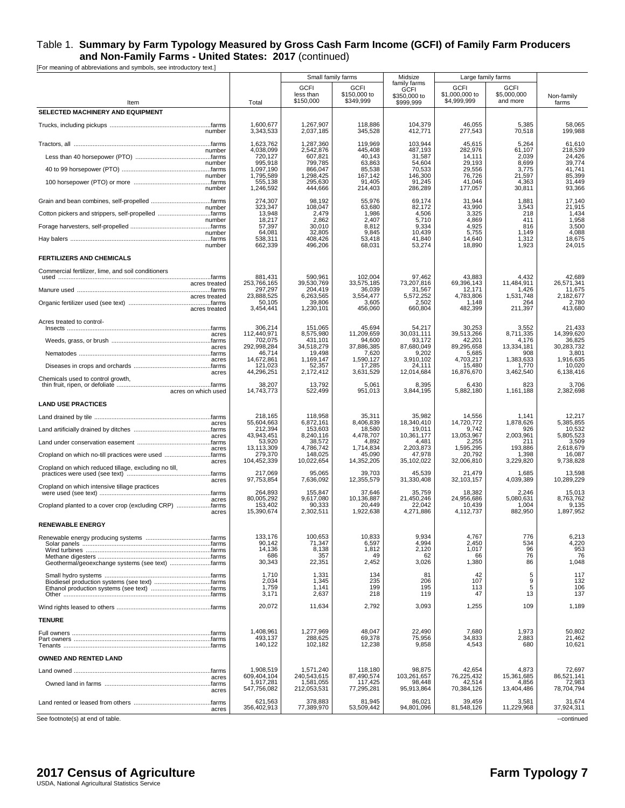[For meaning of abbreviations and symbols, see introductory text.]

|                                                                    |                          | Small family farms                    |                                          | Midsize<br>family farms                  | Large family farms                           |                                        |                      |
|--------------------------------------------------------------------|--------------------------|---------------------------------------|------------------------------------------|------------------------------------------|----------------------------------------------|----------------------------------------|----------------------|
| Item                                                               | Total                    | <b>GCFI</b><br>less than<br>\$150,000 | <b>GCFI</b><br>\$150,000 to<br>\$349,999 | <b>GCFI</b><br>\$350,000 to<br>\$999,999 | <b>GCFI</b><br>\$1,000,000 to<br>\$4,999,999 | <b>GCFI</b><br>\$5,000,000<br>and more | Non-family<br>farms  |
| SELECTED MACHINERY AND EQUIPMENT                                   |                          |                                       |                                          |                                          |                                              |                                        |                      |
| number                                                             | 1,600,677<br>3,343,533   | 1,267,907<br>2,037,185                | 118,886<br>345,528                       | 104,379<br>412,771                       | 46,055<br>277,543                            | 5,385<br>70,518                        | 58,065<br>199,988    |
|                                                                    | 1,623,762                | 1,287,360                             | 119.969                                  | 103.944                                  | 45,615                                       | 5,264                                  | 61,610               |
| number                                                             | 4,038,099<br>720,127     | 2,542,876<br>607,821                  | 445,408<br>40,143                        | 487,193<br>31,587                        | 282,976<br>14,111                            | 61,107<br>2,039                        | 218,539<br>24,426    |
| number                                                             | 995,918<br>1,097,190     | 799,785<br>866,047                    | 63,863<br>85,538                         | 54,604<br>70,533                         | 29,193<br>29,556                             | 8,699<br>3,775                         | 39,774<br>41,741     |
| number                                                             | 1,795,589<br>555,138     | 1,298,425<br>295,630                  | 167,142<br>91,405                        | 146,300<br>91,245                        | 76,726<br>41,046                             | 21,597<br>4,363                        | 85,399<br>31,449     |
| number                                                             | 1,246,592                | 444,666                               | 214,403                                  | 286,289                                  | 177,057                                      | 30,811                                 | 93,366               |
| number                                                             | 274,307<br>323,347       | 98,192<br>108,047                     | 55,976<br>63,680                         | 69,174<br>82,172                         | 31,944<br>43,990                             | 1,881<br>3,543                         | 17,140<br>21,915     |
| number                                                             | 13,948<br>18,217         | 2,479<br>2,862                        | 1,986<br>2,407                           | 4,506<br>5,710                           | 3,325<br>4,869                               | 218<br>411                             | 1,434<br>1,958       |
| number                                                             | 57,397<br>64,081         | 30,010<br>32,805                      | 8,812<br>9,845                           | 9,334<br>10.439                          | 4,925<br>5,755                               | 816<br>1.149                           | 3,500<br>4,088       |
| number                                                             | 538,311<br>662,339       | 408,426<br>496,206                    | 53,418<br>68,031                         | 41,840<br>53,274                         | 14,640<br>18,890                             | 1,312<br>1,923                         | 18,675<br>24,015     |
| <b>FERTILIZERS AND CHEMICALS</b>                                   |                          |                                       |                                          |                                          |                                              |                                        |                      |
| Commercial fertilizer, lime, and soil conditioners                 |                          |                                       |                                          |                                          |                                              |                                        |                      |
|                                                                    | 881,431<br>253,766,165   | 590.961<br>39,530,769                 | 102.004<br>33,575,185                    | 97,462<br>73,207,816                     | 43,883<br>69.396.143                         | 4.432<br>11,484,911                    | 42.689<br>26.571.341 |
| acres treated                                                      | 297,297                  | 204,419                               | 36,039                                   | 31,567                                   | 12,171                                       | 1,426                                  | 11,675               |
| acres treated                                                      | 23,888,525<br>50,105     | 6,263,565<br>39,806                   | 3,554,477<br>3,605                       | 5,572,252<br>2,502                       | 4,783,806<br>1,148                           | 1,531,748<br>264                       | 2,182,677<br>2,780   |
| acres treated                                                      | 3,454,441                | 1,230,101                             | 456,060                                  | 660,804                                  | 482,399                                      | 211,397                                | 413,680              |
| Acres treated to control-                                          | 306,214                  | 151,065                               | 45,694                                   | 54,217                                   | 30,253                                       | 3,552                                  | 21,433               |
| acres                                                              | 112,440,971<br>702,075   | 8,575,980<br>431,101                  | 11,209,659<br>94,600                     | 30,031,111<br>93,172                     | 39,513,266<br>42,201                         | 8,711,335<br>4,176                     | 14,399,620<br>36,825 |
| acres                                                              | 292,998,284<br>46,714    | 34,518,279<br>19,498                  | 37,886,385<br>7,620                      | 87,680,049<br>9,202                      | 89.295.658<br>5,685                          | 13,334,181<br>908                      | 30,283,732<br>3,801  |
| acres                                                              | 14,672,861<br>121,023    | 1,169,147<br>52,357                   | 1.590.127<br>17,285                      | 3,910,102<br>24,111                      | 4,703,217<br>15,480                          | 1.383.633<br>1,770                     | 1.916.635<br>10,020  |
| acres<br>Chemicals used to control growth,                         | 44,296,251               | 2,172,412                             | 3,631,529                                | 12,014,684                               | 16,876,670                                   | 3,462,540                              | 6,138,416            |
| acres on which used                                                | 38,207<br>14,743,773     | 13,792<br>522,499                     | 5,061<br>951,013                         | 8,395<br>3,844,195                       | 6,430<br>5,882,180                           | 823<br>1,161,188                       | 3,706<br>2,382,698   |
| <b>LAND USE PRACTICES</b>                                          |                          |                                       |                                          |                                          |                                              |                                        |                      |
|                                                                    | 218,165                  | 118,958                               | 35,311                                   | 35,982                                   | 14,556                                       | 1,141                                  | 12,217               |
| acres                                                              | 55,604,663<br>212,394    | 6,872,161<br>153,603                  | 8,406,839<br>18,580                      | 18,340,410<br>19,011                     | 14,720,772<br>9,742                          | 1,878,626<br>926                       | 5,385,855<br>10,532  |
| acres                                                              | 43,943,451<br>53,920     | 8,240,116<br>38,572                   | 4,478,707<br>4,892                       | 10,361,177<br>4,481                      | 13,053,967<br>2,255                          | 2,003,961<br>211                       | 5,805,523<br>3,509   |
| acres<br>Cropland on which no-till practices were used farms       | 13,113,309<br>279,370    | 4,786,742<br>148,025                  | 1,714,834<br>45,090                      | 2,203,873<br>47,978                      | 1,595,295<br>20,792                          | 193,886<br>1,398                       | 2,618,679<br>16,087  |
| acres<br>Cropland on which reduced tillage, excluding no till,     | 104,452,339              | 10,022,654                            | 14,352,205                               | 35,102,022                               | 32,006,810                                   | 3,229,820                              | 9,738,828            |
| acres                                                              | 217,069<br>97,753,854    | 95,065<br>7,636,092                   | 39,703<br>12,355,579                     | 45,539<br>31,330,408                     | 21,479<br>32,103,157                         | 1,685<br>4,039,389                     | 13,598<br>10,289,229 |
| Cropland on which intensive tillage practices                      | 264,893                  | 155,847                               | 37,646                                   | 35,759                                   | 18,382                                       | 2,246                                  | 15,013               |
| acres<br>Cropland planted to a cover crop (excluding CRP)<br>farms | 80,005,292<br>153,402    | 9,617,080<br>90,333                   | 10,136,887<br>20.449                     | 21.450.246<br>22,042                     | 24,956,686<br>10.439                         | 5,080,631<br>1,004                     | 8.763.762<br>9,135   |
| acres                                                              | 15,390,674               | 2,302,511                             | 1,922,638                                | 4,271,886                                | 4,112,737                                    | 882,950                                | 1,897,952            |
| <b>RENEWABLE ENERGY</b>                                            |                          |                                       |                                          |                                          |                                              |                                        |                      |
|                                                                    | 133,176<br>90,142        | 100,653<br>71,347                     | 10,833<br>6,597                          | 9,934<br>4,994                           | 4,767<br>2,450                               | 776<br>534                             | 6,213<br>4,220       |
|                                                                    | 14,136<br>686            | 8,138<br>357                          | 1,812<br>49                              | 2,120<br>62                              | 1,017<br>66                                  | 96<br>76                               | 953<br>76            |
| Geothermal/geoexchange systems (see text) farms                    | 30,343                   | 22,351                                | 2,452                                    | 3,026                                    | 1,380                                        | 86                                     | 1,048                |
|                                                                    | 1,710<br>2,034           | 1,331<br>1,345                        | 134<br>235                               | 81<br>206                                | 42<br>107                                    | 5<br>9                                 | 117<br>132           |
|                                                                    | 1,759<br>3,171           | 1,141<br>2,637                        | 199<br>218                               | 195<br>119                               | 113<br>47                                    | 5<br>13                                | 106<br>137           |
|                                                                    | 20,072                   | 11,634                                | 2,792                                    | 3,093                                    | 1,255                                        | 109                                    | 1,189                |
|                                                                    |                          |                                       |                                          |                                          |                                              |                                        |                      |
| <b>TENURE</b>                                                      | 1,408,961                | 1,277,969                             | 48,047                                   | 22,490                                   | 7,680                                        | 1,973                                  | 50,802               |
|                                                                    | 493,137                  | 288,625                               | 69,378                                   | 75,956                                   | 34,833                                       | 2,883<br>680                           | 21,462               |
| OWNED AND RENTED LAND                                              | 140,122                  | 102,182                               | 12,238                                   | 9,858                                    | 4,543                                        |                                        | 10,621               |
|                                                                    | 1,908,519                | 1,571,240                             | 118,180                                  | 98,875                                   | 42,654                                       | 4,873                                  | 72,697               |
| acres<br>.farms                                                    | 609,404,104<br>1,917,281 | 240,543,615<br>1,581,055              | 87,490,574<br>117,425                    | 103,261,657<br>98,448                    | 76,225,432<br>42,514                         | 15,361,685<br>4,856                    | 86,521,141<br>72,983 |
| acres                                                              | 547,756,082              | 212,053,531                           | 77,295,281                               | 95,913,864                               | 70,384,126                                   | 13,404,486                             | 78,704,794           |
| .farms<br>acres                                                    | 621,563<br>356,402,913   | 378,883<br>77,389,970                 | 81,945<br>53,509,442                     | 86,021<br>94,801,096                     | 39,459<br>81,548,126                         | 3,581<br>11,229,968                    | 31,674<br>37,924,311 |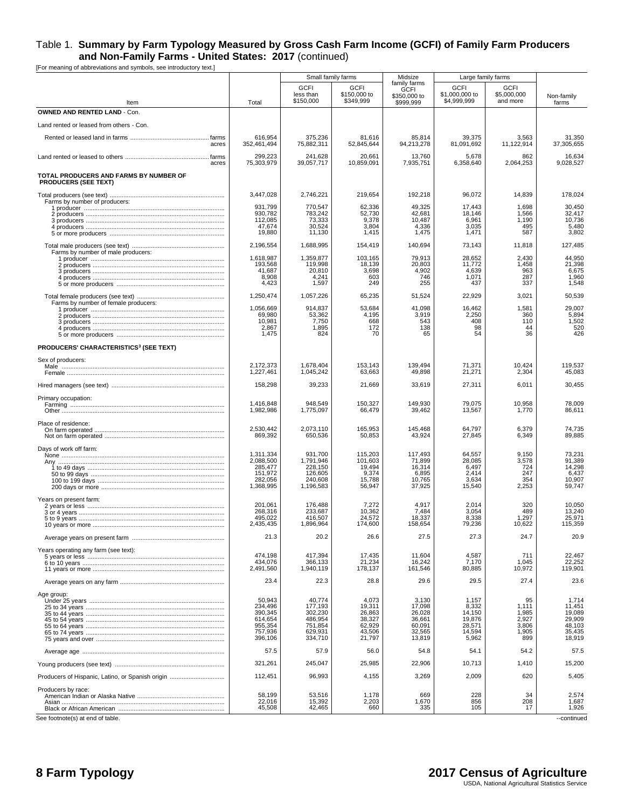|                                                                       |                        | Small family farms                    |                                          | Midsize                                                  | Large family farms                           |                                 |                      |
|-----------------------------------------------------------------------|------------------------|---------------------------------------|------------------------------------------|----------------------------------------------------------|----------------------------------------------|---------------------------------|----------------------|
| Item                                                                  | Total                  | <b>GCFI</b><br>less than<br>\$150,000 | <b>GCFI</b><br>\$150,000 to<br>\$349,999 | family farms<br><b>GCFI</b><br>\$350,000 to<br>\$999,999 | <b>GCFI</b><br>\$1,000,000 to<br>\$4,999,999 | GCFI<br>\$5,000,000<br>and more | Non-family<br>farms  |
| <b>OWNED AND RENTED LAND - Con.</b>                                   |                        |                                       |                                          |                                                          |                                              |                                 |                      |
| Land rented or leased from others - Con.                              |                        |                                       |                                          |                                                          |                                              |                                 |                      |
| acres                                                                 | 616,954<br>352,461,494 | 375,236<br>75,882,311                 | 81,616<br>52,845,644                     | 85,814<br>94,213,278                                     | 39,375<br>81,091,692                         | 3,563<br>11,122,914             | 31,350<br>37.305.655 |
| acres                                                                 | 299,223<br>75,303,979  | 241,628<br>39,057,717                 | 20,661<br>10,859,091                     | 13,760<br>7,935,751                                      | 5,678<br>6,358,640                           | 862<br>2,064,253                | 16,634<br>9,028,527  |
| TOTAL PRODUCERS AND FARMS BY NUMBER OF<br><b>PRODUCERS (SEE TEXT)</b> |                        |                                       |                                          |                                                          |                                              |                                 |                      |
| Farms by number of producers:                                         | 3,447,028              | 2,746,221                             | 219,654                                  | 192,218                                                  | 96,072                                       | 14,839                          | 178,024              |
|                                                                       | 931,799<br>930,782     | 770,547<br>783,242                    | 62,336<br>52,730                         | 49,325<br>42,681                                         | 17,443<br>18,146                             | 1,698<br>1,566                  | 30,450<br>32,417     |
|                                                                       | 112,085                | 73,333                                | 9,378                                    | 10,487                                                   | 6,961                                        | 1,190                           | 10,736               |
|                                                                       | 47,674<br>19,880       | 30,524<br>11,130                      | 3,804<br>1,415                           | 4,336<br>1,475                                           | 3,035<br>1,471                               | 495<br>587                      | 5,480<br>3,802       |
| Farms by number of male producers:                                    | 2,196,554              | 1,688,995                             | 154,419                                  | 140,694                                                  | 73,143                                       | 11,818                          | 127,485              |
|                                                                       | 1,618,987<br>193,568   | 1,359,877<br>119,998                  | 103,165<br>18,139                        | 79,913<br>20,803                                         | 28,652<br>11,772                             | 2,430<br>1,458                  | 44,950<br>21,398     |
|                                                                       | 41,687                 | 20,810                                | 3,698                                    | 4,902                                                    | 4,639                                        | 963                             | 6,675                |
|                                                                       | 8,908<br>4,423         | 4,241<br>1,597                        | 603<br>249                               | 746<br>255                                               | 1,071<br>437                                 | 287<br>337                      | 1,960<br>1,548       |
|                                                                       | 1,250,474              | 1,057,226                             | 65,235                                   | 51,524                                                   | 22,929                                       | 3,021                           | 50,539               |
| Farms by number of female producers:                                  | 1,056,669              | 914,837                               | 53,684                                   | 41,098                                                   | 16,462                                       | 1,581                           | 29,007               |
|                                                                       | 69,980<br>10,981       | 53,362<br>7,750                       | 4,195<br>668                             | 3,919<br>543                                             | 2,250<br>408                                 | 360<br>110                      | 5,894<br>1,502       |
|                                                                       | 2,867                  | 1,895                                 | 172                                      | 138                                                      | 98                                           | 44                              | 520                  |
|                                                                       | 1,475                  | 824                                   | 70                                       | 65                                                       | 54                                           | 36                              | 426                  |
| <b>PRODUCERS' CHARACTERISTICS3 (SEE TEXT)</b>                         |                        |                                       |                                          |                                                          |                                              |                                 |                      |
| Sex of producers:                                                     | 2,172,373<br>1,227,461 | 1,678,404<br>1,045,242                | 153,143<br>63,663                        | 139,494<br>49,898                                        | 71,371<br>21,271                             | 10,424<br>2,304                 | 119,537<br>45,083    |
|                                                                       | 158,298                | 39,233                                | 21,669                                   | 33,619                                                   | 27,311                                       | 6,011                           | 30,455               |
| Primary occupation:                                                   |                        |                                       |                                          |                                                          |                                              |                                 |                      |
|                                                                       | 1,416,848<br>1,982,986 | 948,549<br>1,775,097                  | 150,327<br>66,479                        | 149,930<br>39,462                                        | 79,075<br>13,567                             | 10,958<br>1,770                 | 78,009<br>86,611     |
| Place of residence:                                                   | 2.530.442              | 2,073,110                             | 165,953                                  | 145,468                                                  | 64.797                                       | 6,379                           | 74,735               |
|                                                                       | 869,392                | 650,536                               | 50,853                                   | 43,924                                                   | 27,845                                       | 6,349                           | 89,885               |
| Days of work off farm:                                                | 1,311,334              | 931,700                               | 115,203                                  | 117,493                                                  | 64,557                                       | 9,150                           | 73,231               |
| Any …………………………………………………………………………………                                   | 2,088,500<br>285,477   | 1,791,946<br>228,150                  | 101,603<br>19,494                        | 71,899<br>16,314                                         | 28,085<br>6,497                              | 3,578<br>724                    | 91,389<br>14,298     |
|                                                                       | 151,972                | 126,605                               | 9,374                                    | 6,895                                                    | 2,414                                        | 247                             | 6,437                |
|                                                                       | 282,056<br>1,368,995   | 240,608<br>1,196,583                  | 15,788<br>56,947                         | 10,765<br>37,925                                         | 3,634<br>15,540                              | 354<br>2,253                    | 10,907<br>59,747     |
| Years on present farm:                                                |                        |                                       |                                          |                                                          |                                              |                                 |                      |
|                                                                       | 201,061<br>268,316     | 176,488<br>233,687                    | 7,272<br>10,362                          | 4,917<br>7,484                                           | 2,014<br>3,054                               | 320<br>489                      | 10,050<br>13,240     |
|                                                                       | 495,022                | 416,507                               | 24,572                                   | 18,337                                                   | 8,338                                        | 1,297                           | 25,971               |
|                                                                       | 2,435,435<br>21.3      | 1,896,964<br>20.2                     | 174,600<br>26.6                          | 158,654<br>27.5                                          | 79,236<br>27.3                               | 10,622<br>24.7                  | 115,359<br>20.9      |
| Years operating any farm (see text):                                  |                        |                                       |                                          |                                                          |                                              |                                 |                      |
|                                                                       | 474,198<br>434,076     | 417,394<br>366,133                    | 17,435<br>21,234                         | 11,604<br>16,242                                         | 4,587<br>7,170                               | 711<br>1,045                    | 22,467<br>22,252     |
|                                                                       | 2,491,560              | 1,940,119                             | 178,137                                  | 161,546                                                  | 80,885                                       | 10,972                          | 119,901              |
|                                                                       | 23.4                   | 22.3                                  | 28.8                                     | 29.6                                                     | 29.5                                         | 27.4                            | 23.6                 |
| Age group:                                                            | 50,943                 | 40,774                                | 4,073                                    | 3,130                                                    | 1,157                                        | 95                              | 1,714                |
|                                                                       | 234.496                | 177.193                               | 19,311                                   | 17,098                                                   | 8,332                                        | 1.111                           | 11,451               |
|                                                                       | 390,345<br>614,654     | 302,230<br>486,954                    | 26,863<br>38,327                         | 26,028<br>36,661                                         | 14,150<br>19,876                             | 1,985<br>2,927                  | 19,089<br>29,909     |
|                                                                       | 955,354                | 751,854                               | 62,929                                   | 60,091                                                   | 28,571                                       | 3,806                           | 48,103               |
|                                                                       | 757,936<br>396,106     | 629,931<br>334,710                    | 43,506<br>21,797                         | 32,565<br>13,819                                         | 14,594<br>5,962                              | 1,905<br>899                    | 35,435<br>18,919     |
|                                                                       | 57.5                   | 57.9                                  | 56.0                                     | 54.8                                                     | 54.1                                         | 54.2                            | 57.5                 |
|                                                                       | 321,261                | 245,047                               | 25,985                                   | 22,906                                                   | 10,713                                       | 1,410                           | 15,200               |
|                                                                       | 112,451                | 96,993                                | 4,155                                    | 3,269                                                    | 2,009                                        | 620                             | 5,405                |
| Producers by race:                                                    | 58,199                 | 53,516                                | 1,178                                    | 669                                                      | 228                                          | 34                              | 2,574                |
|                                                                       | 22,016<br>45,508       | 15,392<br>42,465                      | 2,203<br>660                             | 1,670<br>335                                             | 856<br>105                                   | 208<br>17                       | 1,687<br>1,926       |
| See footnote(s) at end of table.                                      |                        |                                       |                                          |                                                          |                                              |                                 | --continued          |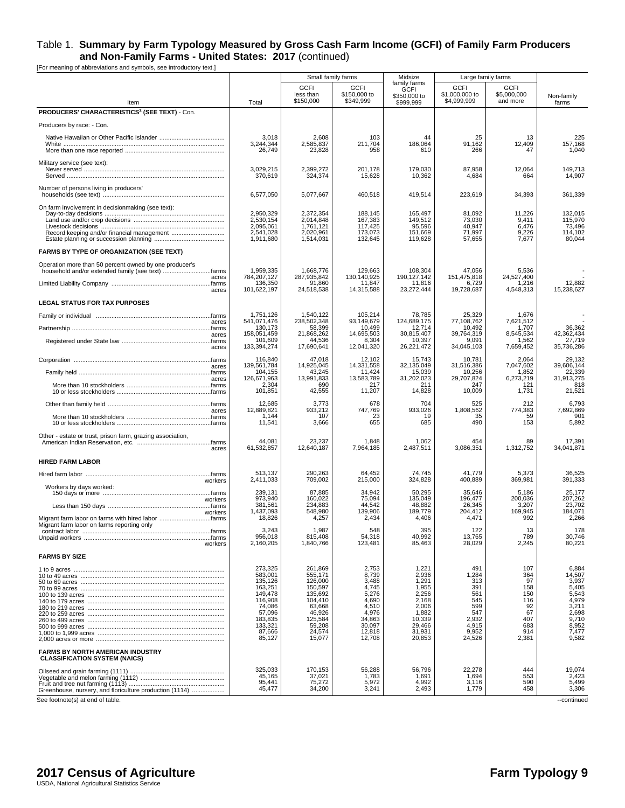|                                                                                                                               |                                                                                                        | Small family farms                                                                                    |                                                                                            | Midsize                                                                                    | Large family farms                                                          |                                                                   |                                                                                        |
|-------------------------------------------------------------------------------------------------------------------------------|--------------------------------------------------------------------------------------------------------|-------------------------------------------------------------------------------------------------------|--------------------------------------------------------------------------------------------|--------------------------------------------------------------------------------------------|-----------------------------------------------------------------------------|-------------------------------------------------------------------|----------------------------------------------------------------------------------------|
| Item                                                                                                                          | Total                                                                                                  | <b>GCFI</b><br>less than<br>\$150,000                                                                 | <b>GCFI</b><br>\$150,000 to<br>\$349,999                                                   | family farms<br><b>GCFI</b><br>\$350,000 to<br>\$999,999                                   | <b>GCFI</b><br>\$1,000,000 to<br>\$4,999,999                                | <b>GCFI</b><br>\$5,000,000<br>and more                            | Non-family<br>farms                                                                    |
| PRODUCERS' CHARACTERISTICS <sup>3</sup> (SEE TEXT) - Con.                                                                     |                                                                                                        |                                                                                                       |                                                                                            |                                                                                            |                                                                             |                                                                   |                                                                                        |
| Producers by race: - Con.                                                                                                     |                                                                                                        |                                                                                                       |                                                                                            |                                                                                            |                                                                             |                                                                   |                                                                                        |
|                                                                                                                               | 3,018<br>3.244.344<br>26,749                                                                           | 2,608<br>2,585,837<br>23,828                                                                          | 103<br>211,704<br>958                                                                      | 44<br>186,064<br>610                                                                       | 25<br>91,162<br>266                                                         | 13<br>12,409<br>47                                                | 225<br>157,168<br>1,040                                                                |
| Military service (see text):                                                                                                  | 3,029,215<br>370,619                                                                                   | 2,399,272<br>324,374                                                                                  | 201,178<br>15,628                                                                          | 179,030<br>10,362                                                                          | 87,958<br>4,684                                                             | 12,064<br>664                                                     | 149,713<br>14,907                                                                      |
| Number of persons living in producers'                                                                                        | 6,577,050                                                                                              | 5,077,667                                                                                             | 460,518                                                                                    | 419,514                                                                                    | 223,619                                                                     | 34,393                                                            | 361,339                                                                                |
| On farm involvement in decisionmaking (see text):                                                                             | 2,950,329<br>2.530.154<br>2,095,061<br>2,541,028<br>1,911,680                                          | 2,372,354<br>2,014,848<br>1,761,121<br>2,020,961<br>1,514,031                                         | 188,145<br>167,383<br>117,425<br>173,073<br>132,645                                        | 165,497<br>149,512<br>95,596<br>151,669<br>119,628                                         | 81,092<br>73,030<br>40,947<br>71,997<br>57,655                              | 11,226<br>9,411<br>6,476<br>9,226<br>7,677                        | 132,015<br>115,970<br>73,496<br>114,102<br>80,044                                      |
| FARMS BY TYPE OF ORGANIZATION (SEE TEXT)                                                                                      |                                                                                                        |                                                                                                       |                                                                                            |                                                                                            |                                                                             |                                                                   |                                                                                        |
| Operation more than 50 percent owned by one producer's<br>household and/or extended family (see text) farms<br>acres<br>acres | 1,959,335<br>784,207,127<br>136,350<br>101,622,197                                                     | 1,668,776<br>287,935,842<br>91,860<br>24,518,538                                                      | 129,663<br>130,140,925<br>11,847<br>14,315,588                                             | 108,304<br>190, 127, 142<br>11,816<br>23,272,444                                           | 47,056<br>151,475,818<br>6,729<br>19,728,687                                | 5,536<br>24,527,400<br>1,216<br>4,548,313                         | 12,882<br>15,238,627                                                                   |
| <b>LEGAL STATUS FOR TAX PURPOSES</b>                                                                                          |                                                                                                        |                                                                                                       |                                                                                            |                                                                                            |                                                                             |                                                                   |                                                                                        |
|                                                                                                                               | 1,751,126                                                                                              | 1,540,122                                                                                             | 105,214                                                                                    | 78,785                                                                                     | 25,329                                                                      | 1,676                                                             |                                                                                        |
| acres                                                                                                                         | 541,071,476<br>130,173                                                                                 | 238,502,348<br>58,399                                                                                 | 93,149,679<br>10,499                                                                       | 124,689,175<br>12,714                                                                      | 77.108.762<br>10,492                                                        | 7,621,512<br>1,707                                                | 36,362                                                                                 |
| acres<br>acres                                                                                                                | 158,051,459<br>101,609<br>133,394,274                                                                  | 21,868,262<br>44,536<br>17,690,641                                                                    | 14.695.503<br>8,304<br>12,041,320                                                          | 30.815.407<br>10,397<br>26,221,472                                                         | 39.764.319<br>9.091<br>34,045,103                                           | 8,545,534<br>1,562<br>7,659,452                                   | 42,362,434<br>27,719<br>35,736,286                                                     |
|                                                                                                                               | 116,840                                                                                                | 47,018                                                                                                | 12,102                                                                                     | 15,743                                                                                     | 10,781                                                                      | 2,064                                                             | 29,132                                                                                 |
| acres                                                                                                                         | 139,561,784<br>104,155                                                                                 | 14,925,045<br>43,245                                                                                  | 14,331,558<br>11,424                                                                       | 32,135,049<br>15,039                                                                       | 31,516,386<br>10,256                                                        | 7,047,602<br>1,852                                                | 39,606,144<br>22,339                                                                   |
| acres                                                                                                                         | 126,671,963<br>2,304<br>101,851                                                                        | 13,991,833<br>690<br>42,555                                                                           | 13,583,789<br>217<br>11,207                                                                | 31,202,023<br>211<br>14,828                                                                | 29,707,824<br>247<br>10,009                                                 | 6,273,219<br>121<br>1,731                                         | 31,913,275<br>818<br>21,521                                                            |
|                                                                                                                               | 12,685                                                                                                 | 3,773                                                                                                 | 678                                                                                        | 704                                                                                        | 525                                                                         | 212                                                               | 6,793                                                                                  |
| acres                                                                                                                         | 12,889,821<br>1,144<br>11,541                                                                          | 933,212<br>107<br>3,666                                                                               | 747,769<br>23<br>655                                                                       | 933,026<br>19<br>685                                                                       | 1,808,562<br>35<br>490                                                      | 774,383<br>59<br>153                                              | 7,692,869<br>901<br>5,892                                                              |
| Other - estate or trust, prison farm, grazing association,<br>acres                                                           | 44,081<br>61,532,857                                                                                   | 23,237<br>12,640,187                                                                                  | 1,848<br>7,964,185                                                                         | 1,062<br>2,487,511                                                                         | 454<br>3,086,351                                                            | 89<br>1,312,752                                                   | 17,391<br>34,041,871                                                                   |
| <b>HIRED FARM LABOR</b>                                                                                                       |                                                                                                        |                                                                                                       |                                                                                            |                                                                                            |                                                                             |                                                                   |                                                                                        |
|                                                                                                                               | 513,137                                                                                                | 290,263                                                                                               | 64,452                                                                                     | 74,745                                                                                     | 41,779                                                                      | 5,373                                                             | 36,525                                                                                 |
| workers<br>Workers by days worked:                                                                                            | 2,411,033                                                                                              | 709,002                                                                                               | 215,000                                                                                    | 324,828                                                                                    | 400,889                                                                     | 369,981                                                           | 391,333                                                                                |
| workers                                                                                                                       | 239,131<br>973,940<br>381,561                                                                          | 87,885<br>160,022<br>234,883                                                                          | 34,942<br>75,094<br>44,542                                                                 | 50,295<br>135,049<br>48,882                                                                | 35,646<br>196,477<br>26,345                                                 | 5,186<br>200,036<br>3,207                                         | 25,177<br>207,262<br>23,702                                                            |
| workers<br>Migrant farm labor on farms with hired labor farms<br>Migrant farm labor on farms reporting only                   | 1,437,093<br>18,826                                                                                    | 548,980<br>4,257                                                                                      | 139,906<br>2,434                                                                           | 189,779<br>4,406                                                                           | 204,412<br>4,471                                                            | 169,945<br>992                                                    | 184,071<br>2,266                                                                       |
|                                                                                                                               | 3,243<br>956,018                                                                                       | 1,987<br>815,408                                                                                      | 548<br>54,318                                                                              | 395<br>40,992                                                                              | 122<br>13,765                                                               | 13<br>789                                                         | 178<br>30,746                                                                          |
| workers<br><b>FARMS BY SIZE</b>                                                                                               | 2,160,205                                                                                              | 1,840,766                                                                                             | 123,481                                                                                    | 85,463                                                                                     | 28,029                                                                      | 2,245                                                             | 80,221                                                                                 |
|                                                                                                                               | 273,325<br>583,001                                                                                     | 261,869<br>555,171                                                                                    | 2,753<br>8,739                                                                             | 1,221<br>2,936                                                                             | 491<br>1,284                                                                | 107<br>364                                                        | 6,884<br>14,507                                                                        |
|                                                                                                                               | 135,126<br>163,251<br>149,478<br>116,908<br>74,086<br>57,096<br>183,835<br>133,321<br>87,666<br>85,127 | 126,000<br>150,597<br>135,692<br>104,410<br>63,668<br>46,926<br>125,584<br>59,208<br>24,574<br>15,077 | 3,488<br>4,745<br>5,276<br>4,690<br>4,510<br>4,976<br>34,863<br>30,097<br>12,818<br>12,708 | 1,291<br>1,955<br>2,256<br>2,168<br>2,006<br>1,882<br>10,339<br>29,466<br>31,931<br>20,853 | 313<br>391<br>561<br>545<br>599<br>547<br>2,932<br>4,915<br>9,952<br>24,526 | 97<br>158<br>150<br>116<br>92<br>67<br>407<br>683<br>914<br>2,381 | 3,937<br>5,405<br>5,543<br>4,979<br>3,211<br>2,698<br>9,710<br>8,952<br>7,477<br>9,582 |
| <b>FARMS BY NORTH AMERICAN INDUSTRY</b><br><b>CLASSIFICATION SYSTEM (NAICS)</b>                                               |                                                                                                        |                                                                                                       |                                                                                            |                                                                                            |                                                                             |                                                                   |                                                                                        |
| Greenhouse, nursery, and floriculture production (1114)                                                                       | 325,033<br>45,165<br>95,441<br>45,477                                                                  | 170,153<br>37,021<br>75,272<br>34,200                                                                 | 56,288<br>1,783<br>5,972<br>3,241                                                          | 56,796<br>1,691<br>4,992<br>2,493                                                          | 22,278<br>1,694<br>3,116<br>1,779                                           | 444<br>553<br>590<br>458                                          | 19,074<br>2,423<br>5,499<br>3,306                                                      |
| See footnote(s) at end of table.                                                                                              |                                                                                                        |                                                                                                       |                                                                                            |                                                                                            |                                                                             |                                                                   | --continued                                                                            |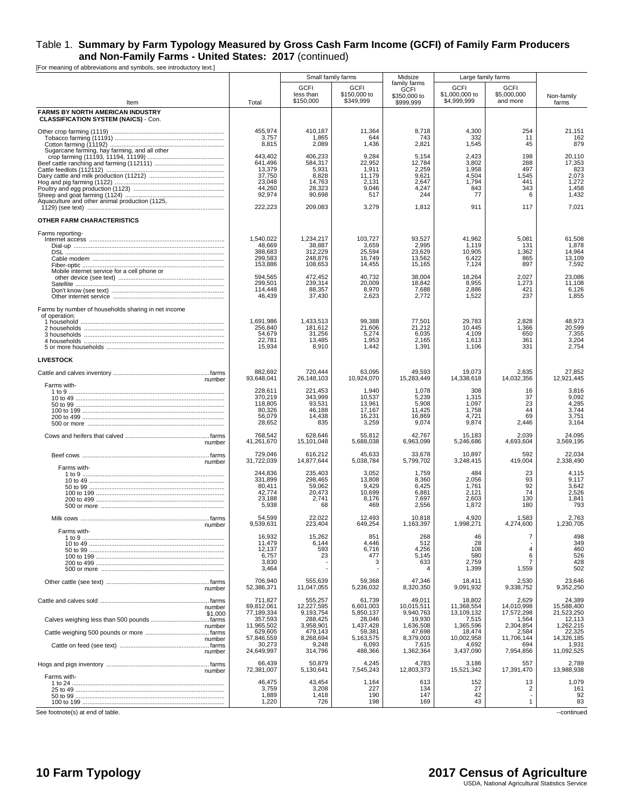[For meaning of abbreviations and symbols, see introductory text.]

|                                                                                        |                                                                                 | Small family farms                                                            |                                                                      | Midsize                                                             | Large family farms                                            |                                                      |                                                                      |
|----------------------------------------------------------------------------------------|---------------------------------------------------------------------------------|-------------------------------------------------------------------------------|----------------------------------------------------------------------|---------------------------------------------------------------------|---------------------------------------------------------------|------------------------------------------------------|----------------------------------------------------------------------|
| Item                                                                                   | Total                                                                           | <b>GCFI</b><br>less than<br>\$150,000                                         | <b>GCFI</b><br>\$150,000 to<br>\$349,999                             | family farms<br><b>GCFI</b><br>\$350,000 to<br>\$999,999            | <b>GCFI</b><br>\$1,000,000 to<br>\$4.999.999                  | GCFI<br>\$5,000,000<br>and more                      | Non-family<br>farms                                                  |
| <b>FARMS BY NORTH AMERICAN INDUSTRY</b><br><b>CLASSIFICATION SYSTEM (NAICS) - Con.</b> |                                                                                 |                                                                               |                                                                      |                                                                     |                                                               |                                                      |                                                                      |
| Sugarcane farming, hay farming, and all other                                          | 455,974<br>3,757<br>8,815                                                       | 410,187<br>1,865<br>2,089                                                     | 11,364<br>644<br>1,436                                               | 8,718<br>743<br>2,821                                               | 4,300<br>332<br>1,545                                         | 254<br>11<br>45                                      | 21,151<br>162<br>879                                                 |
| Aquaculture and other animal production (1125,                                         | 443.402<br>641,496<br>13,379<br>37,750<br>23,048<br>44,260<br>92,974<br>222,223 | 406,233<br>584,317<br>5,931<br>8,828<br>14,763<br>28,323<br>90,698<br>209,083 | 9,284<br>22,952<br>1,911<br>11,179<br>2,131<br>9,046<br>517<br>3,279 | 5,154<br>12,784<br>2,259<br>9,621<br>2,647<br>4,247<br>244<br>1,812 | 2.423<br>3,802<br>1,958<br>4,504<br>1,794<br>843<br>77<br>911 | 198<br>288<br>497<br>1,545<br>441<br>343<br>6<br>117 | 20,110<br>17,353<br>823<br>2,073<br>1,272<br>1,458<br>1,432<br>7,021 |
| OTHER FARM CHARACTERISTICS                                                             |                                                                                 |                                                                               |                                                                      |                                                                     |                                                               |                                                      |                                                                      |
| Farms reporting-<br>Mobile internet service for a cell phone or                        | 1,540,022<br>48,669<br>388,683<br>299,583<br>153,886                            | 1,234,217<br>38,887<br>312,229<br>248,876<br>108,653                          | 103,727<br>3,659<br>25,594<br>16,749<br>14,455                       | 93,527<br>2,995<br>23,629<br>13,562<br>15,165                       | 41,962<br>1.119<br>10,905<br>6,422<br>7,124                   | 5,081<br>131<br>1,362<br>865<br>897                  | 61,508<br>1,878<br>14,964<br>13,109<br>7,592                         |
|                                                                                        | 594,565<br>299,501<br>114,448<br>46,439                                         | 472.452<br>239,314<br>88,357<br>37,430                                        | 40,732<br>20,009<br>8,970<br>2,623                                   | 38,004<br>18,842<br>7,688<br>2,772                                  | 18,264<br>8,955<br>2,886<br>1,522                             | 2,027<br>1,273<br>421<br>237                         | 23,086<br>11,108<br>6,126<br>1,855                                   |
| Farms by number of households sharing in net income<br>of operation:                   | 1,691,986<br>256,840<br>54,679<br>22,781<br>15,934                              | 1,433,513<br>181,612<br>31,256<br>13,485<br>8,910                             | 99,388<br>21,606<br>5,274<br>1,953<br>1,442                          | 77,501<br>21,212<br>6,035<br>2,165<br>1,391                         | 29,783<br>10,445<br>4,109<br>1,613<br>1,106                   | 2,828<br>1,366<br>650<br>361<br>331                  | 48,973<br>20,599<br>7,355<br>3,204<br>2,754                          |
| <b>LIVESTOCK</b>                                                                       |                                                                                 |                                                                               |                                                                      |                                                                     |                                                               |                                                      |                                                                      |
| number                                                                                 | 882,692<br>93,648,041                                                           | 720,444<br>26,148,103                                                         | 63,095<br>10,924,070                                                 | 49,593<br>15,283,449                                                | 19,073<br>14,338,618                                          | 2,635<br>14,032,356                                  | 27,852<br>12,921,445                                                 |
| Farms with-<br>1 to 9 …………………………………………………………………………………                                  | 228,611<br>370,219<br>118,805<br>80,326<br>56,079<br>28,652                     | 221,453<br>343,999<br>93,531<br>46,188<br>14,438<br>835                       | 1,940<br>10,537<br>13,961<br>17,167<br>16,231<br>3,259               | 1,078<br>5,239<br>5,908<br>11,425<br>16,869<br>9,074                | 308<br>1,315<br>1,097<br>1,758<br>4,721<br>9,874              | 16<br>37<br>23<br>44<br>69<br>2,446                  | 3,816<br>9,092<br>4,285<br>3,744<br>3,751<br>3,164                   |
| number                                                                                 | 768,542<br>41,261,670                                                           | 628,646<br>15,101,048                                                         | 55,812<br>5,688,038                                                  | 42,767<br>6,963,099                                                 | 15,183<br>5,246,686                                           | 2,039<br>4,693,604                                   | 24,095<br>3,569,195                                                  |
| number                                                                                 | 729,046<br>31,722,039                                                           | 616,212<br>14,877,644                                                         | 45,633<br>5,038,784                                                  | 33,678<br>5,799,702                                                 | 10,897<br>3,248,415                                           | 592<br>419,004                                       | 22,034<br>2,338,490                                                  |
| Farms with-                                                                            | 244,836<br>331,899<br>80,411<br>42,774<br>23,188<br>5,938                       | 235,403<br>298,465<br>59,062<br>20,473<br>2,741<br>68                         | 3,052<br>13,808<br>9,429<br>10,699<br>8,176<br>469                   | 1,759<br>8,360<br>6,425<br>6,881<br>7,697<br>2,556                  | 484<br>2,056<br>1,761<br>2,121<br>2,603<br>1,872              | 23<br>93<br>92<br>74<br>130<br>180                   | 4,115<br>9,117<br>3,642<br>2,526<br>1,841<br>793                     |
| number                                                                                 | 54.599<br>9,539,631                                                             | 22.022<br>223,404                                                             | 12.493<br>649,254                                                    | 10,818<br>1,163,397                                                 | 4.920<br>1,998,271                                            | 1,583<br>4,274,600                                   | 2,763<br>1,230,705                                                   |
| Farms with                                                                             | 16,932<br>11,479<br>12,137<br>6,757<br>3,830<br>3,464                           | 15,262<br>6,144<br>593<br>23                                                  | 851<br>4,446<br>6,716<br>477<br>3                                    | 268<br>512<br>4,256<br>5,145<br>633                                 | 46<br>28<br>108<br>580<br>2,759<br>1,399                      | $\overline{7}$<br>$\overline{4}$<br>6<br>7<br>1,559  | 498<br>349<br>460<br>526<br>428<br>502                               |
| number                                                                                 | 706,940<br>52,386,371                                                           | 555,639<br>11,047,055                                                         | 59,368<br>5,236,032                                                  | 47,346<br>8,320,350                                                 | 18,411<br>9,091,932                                           | 2,530<br>9,338,752                                   | 23,646<br>9,352,250                                                  |
| number                                                                                 | 711,827<br>69,812,061                                                           | 555,257<br>12.227.595                                                         | 61,739<br>6,601,003                                                  | 49,011<br>10,015,511                                                | 18,802<br>11,368,554                                          | 2,629<br>14,010,998                                  | 24,389<br>15,588,400                                                 |
| \$1,000                                                                                | 77,189,334<br>357,593                                                           | 9,193,754<br>288,425                                                          | 5.850.137<br>28,046                                                  | 9,940,763<br>19,930                                                 | 13,109,132<br>7,515                                           | 17,572,298<br>1,564                                  | 21,523,250<br>12,113                                                 |
| number<br>number<br>number                                                             | 11,965,502<br>629,605<br>57,846,559<br>30,273<br>24,649,997                     | 3,958,901<br>479,143<br>8,268,694<br>9,248<br>314,796                         | 1.437.428<br>59,381<br>5,163,575<br>6,093<br>488,366                 | 1,636,508<br>47,698<br>8,379,003<br>7,615<br>1,362,364              | 1,365,596<br>18,474<br>10,002,958<br>4,692<br>3,437,090       | 2,304,854<br>2,584<br>11,706,144<br>694<br>7,954,856 | 1.262.215<br>22,325<br>14,326,185<br>1,931<br>11,092,525             |
|                                                                                        | 66,439<br>72,381,007                                                            | 50,879<br>5,130,641                                                           | 4,245<br>7,545,243                                                   | 4,783<br>12,803,373                                                 | 3,186<br>15,521,342                                           | 557<br>17,391,470                                    | 2,789<br>13,988,938                                                  |
| number<br>Farms with-                                                                  | 46,475<br>3,759<br>1,889<br>1,220                                               | 43,454<br>3,208<br>1,418<br>726                                               | 1,164<br>227<br>190<br>198                                           | 613<br>134<br>147<br>169                                            | 152<br>27<br>42<br>43                                         | 13<br>$\overline{c}$<br>$\mathbf{1}$                 | 1,079<br>161<br>92<br>83                                             |

See footnote(s) at end of table. <br>
--continued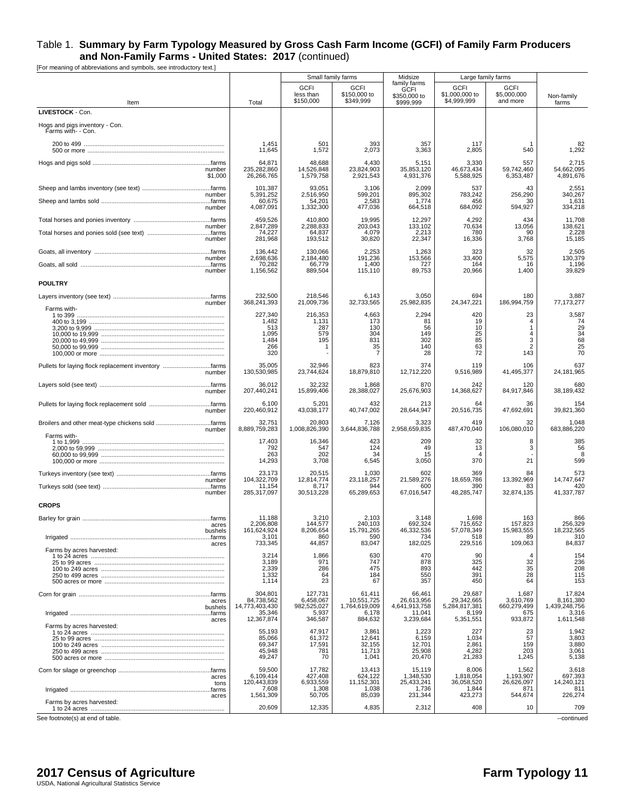| <b>GCFI</b><br><b>GCFI</b><br><b>GCFI</b><br><b>GCFI</b><br><b>GCFI</b><br>less than<br>\$150,000 to<br>\$1,000,000 to<br>\$5,000,000<br>\$350,000 to<br>Non-family<br>\$349,999<br>\$4,999,999<br>\$150,000<br>and more<br>Item<br>Total<br>\$999,999<br>farms<br>LIVESTOCK - Con.<br>Hogs and pigs inventory - Con.<br>Farms with- - Con.<br>1,451<br>501<br>393<br>117<br>82<br>357<br>1,292<br>11,645<br>1,572<br>2,073<br>3,363<br>2,805<br>540<br>2,715<br>64,871<br>48,688<br>4,430<br>5,151<br>3,330<br>557<br>235,282,860<br>14,526,848<br>23,824,903<br>46,673,434<br>59,742,460<br>54,662,095<br>35,853,120<br>number<br>26,266,765<br>1,579,758<br>2,921,543<br>4,931,376<br>5,588,925<br>6,353,487<br>4,891,676<br>\$1,000<br>101,387<br>93,051<br>3,106<br>2,099<br>537<br>43<br>2,551<br>5,391,252<br>2,516,950<br>599,201<br>895,302<br>783,242<br>256,290<br>340,267<br>number<br>60,675<br>1,631<br>54,201<br>2,583<br>1,774<br>456<br>30<br>477,036<br>684,092<br>594,927<br>number<br>4.087.091<br>1,332,300<br>664,518<br>334,218<br>459,526<br>410,800<br>19.995<br>12,297<br>4.292<br>434<br>11,708<br>2,847,289<br>2,288,833<br>203,043<br>133,102<br>70,634<br>13,056<br>138,621<br>number<br>74,227<br>64,837<br>4,079<br>2,213<br>780<br>2,228<br>90<br>30,820<br>281,968<br>193,512<br>22,347<br>16,336<br>3,768<br>15,185<br>number<br>2,253<br>136,442<br>130,066<br>1,263<br>323<br>32<br>2,505<br>191,236<br>2,698,636<br>2,184,480<br>153,566<br>33,400<br>5,575<br>130,379<br>number<br>70,282<br>66,779<br>1,400<br>727<br>164<br>16<br>1,196<br>1,156,562<br>889,504<br>115,110<br>89,753<br>20,966<br>1,400<br>39,829<br>number<br><b>POULTRY</b><br>232,500<br>218,546<br>6,143<br>3,050<br>694<br>3,887<br>180<br>186,994,759<br>368,241,393<br>32.733.565<br>25,982,835<br>24,347,221<br>21,009,736<br>77, 173, 277<br>number<br>Farms with-<br>3,587<br>227,340<br>216.353<br>4,663<br>2,294<br>420<br>23<br>1,482<br>1,131<br>173<br>81<br>19<br>74<br>4<br>29<br>513<br>287<br>130<br>56<br>10<br>$\mathbf{1}$<br>34<br>579<br>25<br>1,095<br>304<br>149<br>4<br>68<br>3<br>195<br>831<br>302<br>85<br>1,484<br>25<br>$\overline{2}$<br>266<br>35<br>63<br>1<br>140<br>70<br>320<br>143<br>7<br>28<br>72<br>35,005<br>32,946<br>374<br>637<br>823<br>119<br>106<br>Pullets for laying flock replacement inventory farms<br>130,530,985<br>23,744,624<br>18,879,810<br>12,712,220<br>9,516,989<br>41,495,377<br>24,181,965<br>number<br>36,012<br>32,232<br>1,868<br>870<br>680<br>242<br>120<br>25,676,903<br>14,368,627<br>84,917,846<br>38,189,432<br>207,440,241<br>15,899,406<br>28,388,027<br>number<br>432<br>6.100<br>5,201<br>213<br>64<br>36<br>154<br>220,460,912<br>43,038,177<br>40,747,002<br>28,644,947<br>20,516,735<br>47,692,691<br>39,821,360<br>number<br>32,751<br>20,803<br>7,126<br>3,323<br>419<br>32<br>1,048<br>1,008,826,390<br>487,470,040<br>106,080,010<br>683,886,220<br>8,889,759,283<br>3,644,836,788<br>2,958,659,835<br>number<br>Farms with-<br>17,403<br>16,346<br>423<br>209<br>8<br>385<br>32<br>792<br>547<br>124<br>49<br>13<br>3<br>56<br>263<br>202<br>15<br>8<br>34<br>4<br>370<br>21<br>599<br>14,293<br>3,708<br>6,545<br>3,050<br>23,173<br>20,515<br>1,030<br>602<br>369<br>84<br>573<br>21,589,276<br>18,659,786<br>13,392,969<br>104,322,709<br>12,814,774<br>23,118,257<br>14,747,647<br>number<br>11,154<br>8,717<br>944<br>600<br>390<br>420<br>83<br>285,317,097<br>65,289,653<br>67.016.547<br>48.285.747<br>32,874,135<br>41,337,787<br>number<br>30,513,228<br><b>CROPS</b><br>3,210<br>2,103<br>1,698<br>11,188<br>3,148<br>163<br>866<br>2,206,808<br>715.652<br>256,329<br>144,577<br>240,103<br>692,324<br>157.823<br>acres<br>8,206,654<br>15,791,265<br>57,078,349<br>15,983,555<br>46.332<br>.536<br>18,232,565<br>bushels<br>101.024.924<br>3,101<br>860<br>518<br>310<br>590<br>734<br>89<br>733,345<br>44,857<br>83,047<br>182,025<br>229,516<br>109,063<br>84,837<br>acres<br>Farms by acres harvested:<br>3,214<br>1,866<br>630<br>470<br>90<br>154<br>325<br>236<br>3,189<br>971<br>747<br>878<br>32<br>35<br>208<br>2,339<br>286<br>475<br>893<br>442<br>28<br>1,332<br>550<br>391<br>115<br>64<br>184<br>1,114<br>23<br>357<br>450<br>64<br>153<br>67<br>304,801<br>66,461<br>29,687<br>1,687<br>17,824<br>127,731<br>61,411<br>10,551,725<br>26,613,956<br>8.161.380<br>84,738,562<br>6,458,067<br>29,342,665<br>3,610,769<br>acres<br>982,525,027<br>1,764,619,009<br>14,773,403,430<br>4,641,913,758<br>5,284,817,381<br>660,279,499<br>1,439,248,756<br>bushels<br>35,346<br>5,937<br>6,178<br>11,041<br>8,199<br>3,316<br>675<br>12,367,874<br>346,587<br>3,239,684<br>933,872<br>884,632<br>5,351,551<br>1,611,548<br>acres<br>Farms by acres harvested:<br>55,193<br>47,917<br>3,861<br>1,223<br>227<br>1,942<br>23<br>85,066<br>61,372<br>12,641<br>6,159<br>1,034<br>3,803<br>57<br>3,880<br>69,347<br>17,591<br>32,155<br>12,701<br>2,861<br>159<br>45,948<br>4,282<br>203<br>3,061<br>781<br>11,713<br>25,908<br>49,247<br>70<br>1,041<br>20,470<br>21,283<br>1,245<br>5,138<br>59,500<br>17,782<br>13,413<br>8,006<br>3,618<br>15,119<br>1,562<br>6,109,414<br>427,408<br>624,122<br>1,348,530<br>1,818,054<br>1,193,907<br>697,393<br>acres<br>25,433,241<br>120,443,839<br>6,933,559<br>11,152,301<br>36,058,520<br>26,626,097<br>14,240,121<br>tons<br>7,608<br>1,308<br>1,038<br>1,736<br>1,844<br>871<br>811<br>1,561,309<br>85,039<br>231,344<br>226,274<br>50,705<br>423,273<br>544,674<br>acres<br>Farms by acres harvested:<br>20,609<br>12,335<br>4,835<br>2,312<br>408<br>10<br>709<br>See footnote(s) at end of table.<br>--continued |  | Small family farms | Midsize      | Large family farms |  |
|---------------------------------------------------------------------------------------------------------------------------------------------------------------------------------------------------------------------------------------------------------------------------------------------------------------------------------------------------------------------------------------------------------------------------------------------------------------------------------------------------------------------------------------------------------------------------------------------------------------------------------------------------------------------------------------------------------------------------------------------------------------------------------------------------------------------------------------------------------------------------------------------------------------------------------------------------------------------------------------------------------------------------------------------------------------------------------------------------------------------------------------------------------------------------------------------------------------------------------------------------------------------------------------------------------------------------------------------------------------------------------------------------------------------------------------------------------------------------------------------------------------------------------------------------------------------------------------------------------------------------------------------------------------------------------------------------------------------------------------------------------------------------------------------------------------------------------------------------------------------------------------------------------------------------------------------------------------------------------------------------------------------------------------------------------------------------------------------------------------------------------------------------------------------------------------------------------------------------------------------------------------------------------------------------------------------------------------------------------------------------------------------------------------------------------------------------------------------------------------------------------------------------------------------------------------------------------------------------------------------------------------------------------------------------------------------------------------------------------------------------------------------------------------------------------------------------------------------------------------------------------------------------------------------------------------------------------------------------------------------------------------------------------------------------------------------------------------------------------------------------------------------------------------------------------------------------------------------------------------------------------------------------------------------------------------------------------------------------------------------------------------------------------------------------------------------------------------------------------------------------------------------------------------------------------------------------------------------------------------------------------------------------------------------------------------------------------------------------------------------------------------------------------------------------------------------------------------------------------------------------------------------------------------------------------------------------------------------------------------------------------------------------------------------------------------------------------------------------------------------------------------------------------------------------------------------------------------------------------------------------------------------------------------------------------------------------------------------------------------------------------------------------------------------------------------------------------------------------------------------------------------------------------------------------------------------------------------------------------------------------------------------------------------------------------------------------------------------------------------------------------------------------------------------------------------------------------------------------------------------------------------------------------------------------------------------------------------------------------------------------------------------------------------------------------------------------------------------------------------------------------------------------------------------------------------------------------------------------------------------------------------------------------------------------------------------------------------------------------------------------------------------------------------------------------------------------------------------------------------------------------------------------------------------------------------------------------------------------------------------------------------------------------------------------------|--|--------------------|--------------|--------------------|--|
|                                                                                                                                                                                                                                                                                                                                                                                                                                                                                                                                                                                                                                                                                                                                                                                                                                                                                                                                                                                                                                                                                                                                                                                                                                                                                                                                                                                                                                                                                                                                                                                                                                                                                                                                                                                                                                                                                                                                                                                                                                                                                                                                                                                                                                                                                                                                                                                                                                                                                                                                                                                                                                                                                                                                                                                                                                                                                                                                                                                                                                                                                                                                                                                                                                                                                                                                                                                                                                                                                                                                                                                                                                                                                                                                                                                                                                                                                                                                                                                                                                                                                                                                                                                                                                                                                                                                                                                                                                                                                                                                                                                                                                                                                                                                                                                                                                                                                                                                                                                                                                                                                                                                                                                                                                                                                                                                                                                                                                                                                                                                                                                                                                                                                 |  |                    | family farms |                    |  |
|                                                                                                                                                                                                                                                                                                                                                                                                                                                                                                                                                                                                                                                                                                                                                                                                                                                                                                                                                                                                                                                                                                                                                                                                                                                                                                                                                                                                                                                                                                                                                                                                                                                                                                                                                                                                                                                                                                                                                                                                                                                                                                                                                                                                                                                                                                                                                                                                                                                                                                                                                                                                                                                                                                                                                                                                                                                                                                                                                                                                                                                                                                                                                                                                                                                                                                                                                                                                                                                                                                                                                                                                                                                                                                                                                                                                                                                                                                                                                                                                                                                                                                                                                                                                                                                                                                                                                                                                                                                                                                                                                                                                                                                                                                                                                                                                                                                                                                                                                                                                                                                                                                                                                                                                                                                                                                                                                                                                                                                                                                                                                                                                                                                                                 |  |                    |              |                    |  |
|                                                                                                                                                                                                                                                                                                                                                                                                                                                                                                                                                                                                                                                                                                                                                                                                                                                                                                                                                                                                                                                                                                                                                                                                                                                                                                                                                                                                                                                                                                                                                                                                                                                                                                                                                                                                                                                                                                                                                                                                                                                                                                                                                                                                                                                                                                                                                                                                                                                                                                                                                                                                                                                                                                                                                                                                                                                                                                                                                                                                                                                                                                                                                                                                                                                                                                                                                                                                                                                                                                                                                                                                                                                                                                                                                                                                                                                                                                                                                                                                                                                                                                                                                                                                                                                                                                                                                                                                                                                                                                                                                                                                                                                                                                                                                                                                                                                                                                                                                                                                                                                                                                                                                                                                                                                                                                                                                                                                                                                                                                                                                                                                                                                                                 |  |                    |              |                    |  |
|                                                                                                                                                                                                                                                                                                                                                                                                                                                                                                                                                                                                                                                                                                                                                                                                                                                                                                                                                                                                                                                                                                                                                                                                                                                                                                                                                                                                                                                                                                                                                                                                                                                                                                                                                                                                                                                                                                                                                                                                                                                                                                                                                                                                                                                                                                                                                                                                                                                                                                                                                                                                                                                                                                                                                                                                                                                                                                                                                                                                                                                                                                                                                                                                                                                                                                                                                                                                                                                                                                                                                                                                                                                                                                                                                                                                                                                                                                                                                                                                                                                                                                                                                                                                                                                                                                                                                                                                                                                                                                                                                                                                                                                                                                                                                                                                                                                                                                                                                                                                                                                                                                                                                                                                                                                                                                                                                                                                                                                                                                                                                                                                                                                                                 |  |                    |              |                    |  |
|                                                                                                                                                                                                                                                                                                                                                                                                                                                                                                                                                                                                                                                                                                                                                                                                                                                                                                                                                                                                                                                                                                                                                                                                                                                                                                                                                                                                                                                                                                                                                                                                                                                                                                                                                                                                                                                                                                                                                                                                                                                                                                                                                                                                                                                                                                                                                                                                                                                                                                                                                                                                                                                                                                                                                                                                                                                                                                                                                                                                                                                                                                                                                                                                                                                                                                                                                                                                                                                                                                                                                                                                                                                                                                                                                                                                                                                                                                                                                                                                                                                                                                                                                                                                                                                                                                                                                                                                                                                                                                                                                                                                                                                                                                                                                                                                                                                                                                                                                                                                                                                                                                                                                                                                                                                                                                                                                                                                                                                                                                                                                                                                                                                                                 |  |                    |              |                    |  |
|                                                                                                                                                                                                                                                                                                                                                                                                                                                                                                                                                                                                                                                                                                                                                                                                                                                                                                                                                                                                                                                                                                                                                                                                                                                                                                                                                                                                                                                                                                                                                                                                                                                                                                                                                                                                                                                                                                                                                                                                                                                                                                                                                                                                                                                                                                                                                                                                                                                                                                                                                                                                                                                                                                                                                                                                                                                                                                                                                                                                                                                                                                                                                                                                                                                                                                                                                                                                                                                                                                                                                                                                                                                                                                                                                                                                                                                                                                                                                                                                                                                                                                                                                                                                                                                                                                                                                                                                                                                                                                                                                                                                                                                                                                                                                                                                                                                                                                                                                                                                                                                                                                                                                                                                                                                                                                                                                                                                                                                                                                                                                                                                                                                                                 |  |                    |              |                    |  |
|                                                                                                                                                                                                                                                                                                                                                                                                                                                                                                                                                                                                                                                                                                                                                                                                                                                                                                                                                                                                                                                                                                                                                                                                                                                                                                                                                                                                                                                                                                                                                                                                                                                                                                                                                                                                                                                                                                                                                                                                                                                                                                                                                                                                                                                                                                                                                                                                                                                                                                                                                                                                                                                                                                                                                                                                                                                                                                                                                                                                                                                                                                                                                                                                                                                                                                                                                                                                                                                                                                                                                                                                                                                                                                                                                                                                                                                                                                                                                                                                                                                                                                                                                                                                                                                                                                                                                                                                                                                                                                                                                                                                                                                                                                                                                                                                                                                                                                                                                                                                                                                                                                                                                                                                                                                                                                                                                                                                                                                                                                                                                                                                                                                                                 |  |                    |              |                    |  |
|                                                                                                                                                                                                                                                                                                                                                                                                                                                                                                                                                                                                                                                                                                                                                                                                                                                                                                                                                                                                                                                                                                                                                                                                                                                                                                                                                                                                                                                                                                                                                                                                                                                                                                                                                                                                                                                                                                                                                                                                                                                                                                                                                                                                                                                                                                                                                                                                                                                                                                                                                                                                                                                                                                                                                                                                                                                                                                                                                                                                                                                                                                                                                                                                                                                                                                                                                                                                                                                                                                                                                                                                                                                                                                                                                                                                                                                                                                                                                                                                                                                                                                                                                                                                                                                                                                                                                                                                                                                                                                                                                                                                                                                                                                                                                                                                                                                                                                                                                                                                                                                                                                                                                                                                                                                                                                                                                                                                                                                                                                                                                                                                                                                                                 |  |                    |              |                    |  |
|                                                                                                                                                                                                                                                                                                                                                                                                                                                                                                                                                                                                                                                                                                                                                                                                                                                                                                                                                                                                                                                                                                                                                                                                                                                                                                                                                                                                                                                                                                                                                                                                                                                                                                                                                                                                                                                                                                                                                                                                                                                                                                                                                                                                                                                                                                                                                                                                                                                                                                                                                                                                                                                                                                                                                                                                                                                                                                                                                                                                                                                                                                                                                                                                                                                                                                                                                                                                                                                                                                                                                                                                                                                                                                                                                                                                                                                                                                                                                                                                                                                                                                                                                                                                                                                                                                                                                                                                                                                                                                                                                                                                                                                                                                                                                                                                                                                                                                                                                                                                                                                                                                                                                                                                                                                                                                                                                                                                                                                                                                                                                                                                                                                                                 |  |                    |              |                    |  |
|                                                                                                                                                                                                                                                                                                                                                                                                                                                                                                                                                                                                                                                                                                                                                                                                                                                                                                                                                                                                                                                                                                                                                                                                                                                                                                                                                                                                                                                                                                                                                                                                                                                                                                                                                                                                                                                                                                                                                                                                                                                                                                                                                                                                                                                                                                                                                                                                                                                                                                                                                                                                                                                                                                                                                                                                                                                                                                                                                                                                                                                                                                                                                                                                                                                                                                                                                                                                                                                                                                                                                                                                                                                                                                                                                                                                                                                                                                                                                                                                                                                                                                                                                                                                                                                                                                                                                                                                                                                                                                                                                                                                                                                                                                                                                                                                                                                                                                                                                                                                                                                                                                                                                                                                                                                                                                                                                                                                                                                                                                                                                                                                                                                                                 |  |                    |              |                    |  |
|                                                                                                                                                                                                                                                                                                                                                                                                                                                                                                                                                                                                                                                                                                                                                                                                                                                                                                                                                                                                                                                                                                                                                                                                                                                                                                                                                                                                                                                                                                                                                                                                                                                                                                                                                                                                                                                                                                                                                                                                                                                                                                                                                                                                                                                                                                                                                                                                                                                                                                                                                                                                                                                                                                                                                                                                                                                                                                                                                                                                                                                                                                                                                                                                                                                                                                                                                                                                                                                                                                                                                                                                                                                                                                                                                                                                                                                                                                                                                                                                                                                                                                                                                                                                                                                                                                                                                                                                                                                                                                                                                                                                                                                                                                                                                                                                                                                                                                                                                                                                                                                                                                                                                                                                                                                                                                                                                                                                                                                                                                                                                                                                                                                                                 |  |                    |              |                    |  |
|                                                                                                                                                                                                                                                                                                                                                                                                                                                                                                                                                                                                                                                                                                                                                                                                                                                                                                                                                                                                                                                                                                                                                                                                                                                                                                                                                                                                                                                                                                                                                                                                                                                                                                                                                                                                                                                                                                                                                                                                                                                                                                                                                                                                                                                                                                                                                                                                                                                                                                                                                                                                                                                                                                                                                                                                                                                                                                                                                                                                                                                                                                                                                                                                                                                                                                                                                                                                                                                                                                                                                                                                                                                                                                                                                                                                                                                                                                                                                                                                                                                                                                                                                                                                                                                                                                                                                                                                                                                                                                                                                                                                                                                                                                                                                                                                                                                                                                                                                                                                                                                                                                                                                                                                                                                                                                                                                                                                                                                                                                                                                                                                                                                                                 |  |                    |              |                    |  |
|                                                                                                                                                                                                                                                                                                                                                                                                                                                                                                                                                                                                                                                                                                                                                                                                                                                                                                                                                                                                                                                                                                                                                                                                                                                                                                                                                                                                                                                                                                                                                                                                                                                                                                                                                                                                                                                                                                                                                                                                                                                                                                                                                                                                                                                                                                                                                                                                                                                                                                                                                                                                                                                                                                                                                                                                                                                                                                                                                                                                                                                                                                                                                                                                                                                                                                                                                                                                                                                                                                                                                                                                                                                                                                                                                                                                                                                                                                                                                                                                                                                                                                                                                                                                                                                                                                                                                                                                                                                                                                                                                                                                                                                                                                                                                                                                                                                                                                                                                                                                                                                                                                                                                                                                                                                                                                                                                                                                                                                                                                                                                                                                                                                                                 |  |                    |              |                    |  |
|                                                                                                                                                                                                                                                                                                                                                                                                                                                                                                                                                                                                                                                                                                                                                                                                                                                                                                                                                                                                                                                                                                                                                                                                                                                                                                                                                                                                                                                                                                                                                                                                                                                                                                                                                                                                                                                                                                                                                                                                                                                                                                                                                                                                                                                                                                                                                                                                                                                                                                                                                                                                                                                                                                                                                                                                                                                                                                                                                                                                                                                                                                                                                                                                                                                                                                                                                                                                                                                                                                                                                                                                                                                                                                                                                                                                                                                                                                                                                                                                                                                                                                                                                                                                                                                                                                                                                                                                                                                                                                                                                                                                                                                                                                                                                                                                                                                                                                                                                                                                                                                                                                                                                                                                                                                                                                                                                                                                                                                                                                                                                                                                                                                                                 |  |                    |              |                    |  |
|                                                                                                                                                                                                                                                                                                                                                                                                                                                                                                                                                                                                                                                                                                                                                                                                                                                                                                                                                                                                                                                                                                                                                                                                                                                                                                                                                                                                                                                                                                                                                                                                                                                                                                                                                                                                                                                                                                                                                                                                                                                                                                                                                                                                                                                                                                                                                                                                                                                                                                                                                                                                                                                                                                                                                                                                                                                                                                                                                                                                                                                                                                                                                                                                                                                                                                                                                                                                                                                                                                                                                                                                                                                                                                                                                                                                                                                                                                                                                                                                                                                                                                                                                                                                                                                                                                                                                                                                                                                                                                                                                                                                                                                                                                                                                                                                                                                                                                                                                                                                                                                                                                                                                                                                                                                                                                                                                                                                                                                                                                                                                                                                                                                                                 |  |                    |              |                    |  |
|                                                                                                                                                                                                                                                                                                                                                                                                                                                                                                                                                                                                                                                                                                                                                                                                                                                                                                                                                                                                                                                                                                                                                                                                                                                                                                                                                                                                                                                                                                                                                                                                                                                                                                                                                                                                                                                                                                                                                                                                                                                                                                                                                                                                                                                                                                                                                                                                                                                                                                                                                                                                                                                                                                                                                                                                                                                                                                                                                                                                                                                                                                                                                                                                                                                                                                                                                                                                                                                                                                                                                                                                                                                                                                                                                                                                                                                                                                                                                                                                                                                                                                                                                                                                                                                                                                                                                                                                                                                                                                                                                                                                                                                                                                                                                                                                                                                                                                                                                                                                                                                                                                                                                                                                                                                                                                                                                                                                                                                                                                                                                                                                                                                                                 |  |                    |              |                    |  |
|                                                                                                                                                                                                                                                                                                                                                                                                                                                                                                                                                                                                                                                                                                                                                                                                                                                                                                                                                                                                                                                                                                                                                                                                                                                                                                                                                                                                                                                                                                                                                                                                                                                                                                                                                                                                                                                                                                                                                                                                                                                                                                                                                                                                                                                                                                                                                                                                                                                                                                                                                                                                                                                                                                                                                                                                                                                                                                                                                                                                                                                                                                                                                                                                                                                                                                                                                                                                                                                                                                                                                                                                                                                                                                                                                                                                                                                                                                                                                                                                                                                                                                                                                                                                                                                                                                                                                                                                                                                                                                                                                                                                                                                                                                                                                                                                                                                                                                                                                                                                                                                                                                                                                                                                                                                                                                                                                                                                                                                                                                                                                                                                                                                                                 |  |                    |              |                    |  |
|                                                                                                                                                                                                                                                                                                                                                                                                                                                                                                                                                                                                                                                                                                                                                                                                                                                                                                                                                                                                                                                                                                                                                                                                                                                                                                                                                                                                                                                                                                                                                                                                                                                                                                                                                                                                                                                                                                                                                                                                                                                                                                                                                                                                                                                                                                                                                                                                                                                                                                                                                                                                                                                                                                                                                                                                                                                                                                                                                                                                                                                                                                                                                                                                                                                                                                                                                                                                                                                                                                                                                                                                                                                                                                                                                                                                                                                                                                                                                                                                                                                                                                                                                                                                                                                                                                                                                                                                                                                                                                                                                                                                                                                                                                                                                                                                                                                                                                                                                                                                                                                                                                                                                                                                                                                                                                                                                                                                                                                                                                                                                                                                                                                                                 |  |                    |              |                    |  |
|                                                                                                                                                                                                                                                                                                                                                                                                                                                                                                                                                                                                                                                                                                                                                                                                                                                                                                                                                                                                                                                                                                                                                                                                                                                                                                                                                                                                                                                                                                                                                                                                                                                                                                                                                                                                                                                                                                                                                                                                                                                                                                                                                                                                                                                                                                                                                                                                                                                                                                                                                                                                                                                                                                                                                                                                                                                                                                                                                                                                                                                                                                                                                                                                                                                                                                                                                                                                                                                                                                                                                                                                                                                                                                                                                                                                                                                                                                                                                                                                                                                                                                                                                                                                                                                                                                                                                                                                                                                                                                                                                                                                                                                                                                                                                                                                                                                                                                                                                                                                                                                                                                                                                                                                                                                                                                                                                                                                                                                                                                                                                                                                                                                                                 |  |                    |              |                    |  |
|                                                                                                                                                                                                                                                                                                                                                                                                                                                                                                                                                                                                                                                                                                                                                                                                                                                                                                                                                                                                                                                                                                                                                                                                                                                                                                                                                                                                                                                                                                                                                                                                                                                                                                                                                                                                                                                                                                                                                                                                                                                                                                                                                                                                                                                                                                                                                                                                                                                                                                                                                                                                                                                                                                                                                                                                                                                                                                                                                                                                                                                                                                                                                                                                                                                                                                                                                                                                                                                                                                                                                                                                                                                                                                                                                                                                                                                                                                                                                                                                                                                                                                                                                                                                                                                                                                                                                                                                                                                                                                                                                                                                                                                                                                                                                                                                                                                                                                                                                                                                                                                                                                                                                                                                                                                                                                                                                                                                                                                                                                                                                                                                                                                                                 |  |                    |              |                    |  |
|                                                                                                                                                                                                                                                                                                                                                                                                                                                                                                                                                                                                                                                                                                                                                                                                                                                                                                                                                                                                                                                                                                                                                                                                                                                                                                                                                                                                                                                                                                                                                                                                                                                                                                                                                                                                                                                                                                                                                                                                                                                                                                                                                                                                                                                                                                                                                                                                                                                                                                                                                                                                                                                                                                                                                                                                                                                                                                                                                                                                                                                                                                                                                                                                                                                                                                                                                                                                                                                                                                                                                                                                                                                                                                                                                                                                                                                                                                                                                                                                                                                                                                                                                                                                                                                                                                                                                                                                                                                                                                                                                                                                                                                                                                                                                                                                                                                                                                                                                                                                                                                                                                                                                                                                                                                                                                                                                                                                                                                                                                                                                                                                                                                                                 |  |                    |              |                    |  |
|                                                                                                                                                                                                                                                                                                                                                                                                                                                                                                                                                                                                                                                                                                                                                                                                                                                                                                                                                                                                                                                                                                                                                                                                                                                                                                                                                                                                                                                                                                                                                                                                                                                                                                                                                                                                                                                                                                                                                                                                                                                                                                                                                                                                                                                                                                                                                                                                                                                                                                                                                                                                                                                                                                                                                                                                                                                                                                                                                                                                                                                                                                                                                                                                                                                                                                                                                                                                                                                                                                                                                                                                                                                                                                                                                                                                                                                                                                                                                                                                                                                                                                                                                                                                                                                                                                                                                                                                                                                                                                                                                                                                                                                                                                                                                                                                                                                                                                                                                                                                                                                                                                                                                                                                                                                                                                                                                                                                                                                                                                                                                                                                                                                                                 |  |                    |              |                    |  |
|                                                                                                                                                                                                                                                                                                                                                                                                                                                                                                                                                                                                                                                                                                                                                                                                                                                                                                                                                                                                                                                                                                                                                                                                                                                                                                                                                                                                                                                                                                                                                                                                                                                                                                                                                                                                                                                                                                                                                                                                                                                                                                                                                                                                                                                                                                                                                                                                                                                                                                                                                                                                                                                                                                                                                                                                                                                                                                                                                                                                                                                                                                                                                                                                                                                                                                                                                                                                                                                                                                                                                                                                                                                                                                                                                                                                                                                                                                                                                                                                                                                                                                                                                                                                                                                                                                                                                                                                                                                                                                                                                                                                                                                                                                                                                                                                                                                                                                                                                                                                                                                                                                                                                                                                                                                                                                                                                                                                                                                                                                                                                                                                                                                                                 |  |                    |              |                    |  |
|                                                                                                                                                                                                                                                                                                                                                                                                                                                                                                                                                                                                                                                                                                                                                                                                                                                                                                                                                                                                                                                                                                                                                                                                                                                                                                                                                                                                                                                                                                                                                                                                                                                                                                                                                                                                                                                                                                                                                                                                                                                                                                                                                                                                                                                                                                                                                                                                                                                                                                                                                                                                                                                                                                                                                                                                                                                                                                                                                                                                                                                                                                                                                                                                                                                                                                                                                                                                                                                                                                                                                                                                                                                                                                                                                                                                                                                                                                                                                                                                                                                                                                                                                                                                                                                                                                                                                                                                                                                                                                                                                                                                                                                                                                                                                                                                                                                                                                                                                                                                                                                                                                                                                                                                                                                                                                                                                                                                                                                                                                                                                                                                                                                                                 |  |                    |              |                    |  |
|                                                                                                                                                                                                                                                                                                                                                                                                                                                                                                                                                                                                                                                                                                                                                                                                                                                                                                                                                                                                                                                                                                                                                                                                                                                                                                                                                                                                                                                                                                                                                                                                                                                                                                                                                                                                                                                                                                                                                                                                                                                                                                                                                                                                                                                                                                                                                                                                                                                                                                                                                                                                                                                                                                                                                                                                                                                                                                                                                                                                                                                                                                                                                                                                                                                                                                                                                                                                                                                                                                                                                                                                                                                                                                                                                                                                                                                                                                                                                                                                                                                                                                                                                                                                                                                                                                                                                                                                                                                                                                                                                                                                                                                                                                                                                                                                                                                                                                                                                                                                                                                                                                                                                                                                                                                                                                                                                                                                                                                                                                                                                                                                                                                                                 |  |                    |              |                    |  |
|                                                                                                                                                                                                                                                                                                                                                                                                                                                                                                                                                                                                                                                                                                                                                                                                                                                                                                                                                                                                                                                                                                                                                                                                                                                                                                                                                                                                                                                                                                                                                                                                                                                                                                                                                                                                                                                                                                                                                                                                                                                                                                                                                                                                                                                                                                                                                                                                                                                                                                                                                                                                                                                                                                                                                                                                                                                                                                                                                                                                                                                                                                                                                                                                                                                                                                                                                                                                                                                                                                                                                                                                                                                                                                                                                                                                                                                                                                                                                                                                                                                                                                                                                                                                                                                                                                                                                                                                                                                                                                                                                                                                                                                                                                                                                                                                                                                                                                                                                                                                                                                                                                                                                                                                                                                                                                                                                                                                                                                                                                                                                                                                                                                                                 |  |                    |              |                    |  |
|                                                                                                                                                                                                                                                                                                                                                                                                                                                                                                                                                                                                                                                                                                                                                                                                                                                                                                                                                                                                                                                                                                                                                                                                                                                                                                                                                                                                                                                                                                                                                                                                                                                                                                                                                                                                                                                                                                                                                                                                                                                                                                                                                                                                                                                                                                                                                                                                                                                                                                                                                                                                                                                                                                                                                                                                                                                                                                                                                                                                                                                                                                                                                                                                                                                                                                                                                                                                                                                                                                                                                                                                                                                                                                                                                                                                                                                                                                                                                                                                                                                                                                                                                                                                                                                                                                                                                                                                                                                                                                                                                                                                                                                                                                                                                                                                                                                                                                                                                                                                                                                                                                                                                                                                                                                                                                                                                                                                                                                                                                                                                                                                                                                                                 |  |                    |              |                    |  |
|                                                                                                                                                                                                                                                                                                                                                                                                                                                                                                                                                                                                                                                                                                                                                                                                                                                                                                                                                                                                                                                                                                                                                                                                                                                                                                                                                                                                                                                                                                                                                                                                                                                                                                                                                                                                                                                                                                                                                                                                                                                                                                                                                                                                                                                                                                                                                                                                                                                                                                                                                                                                                                                                                                                                                                                                                                                                                                                                                                                                                                                                                                                                                                                                                                                                                                                                                                                                                                                                                                                                                                                                                                                                                                                                                                                                                                                                                                                                                                                                                                                                                                                                                                                                                                                                                                                                                                                                                                                                                                                                                                                                                                                                                                                                                                                                                                                                                                                                                                                                                                                                                                                                                                                                                                                                                                                                                                                                                                                                                                                                                                                                                                                                                 |  |                    |              |                    |  |
|                                                                                                                                                                                                                                                                                                                                                                                                                                                                                                                                                                                                                                                                                                                                                                                                                                                                                                                                                                                                                                                                                                                                                                                                                                                                                                                                                                                                                                                                                                                                                                                                                                                                                                                                                                                                                                                                                                                                                                                                                                                                                                                                                                                                                                                                                                                                                                                                                                                                                                                                                                                                                                                                                                                                                                                                                                                                                                                                                                                                                                                                                                                                                                                                                                                                                                                                                                                                                                                                                                                                                                                                                                                                                                                                                                                                                                                                                                                                                                                                                                                                                                                                                                                                                                                                                                                                                                                                                                                                                                                                                                                                                                                                                                                                                                                                                                                                                                                                                                                                                                                                                                                                                                                                                                                                                                                                                                                                                                                                                                                                                                                                                                                                                 |  |                    |              |                    |  |
|                                                                                                                                                                                                                                                                                                                                                                                                                                                                                                                                                                                                                                                                                                                                                                                                                                                                                                                                                                                                                                                                                                                                                                                                                                                                                                                                                                                                                                                                                                                                                                                                                                                                                                                                                                                                                                                                                                                                                                                                                                                                                                                                                                                                                                                                                                                                                                                                                                                                                                                                                                                                                                                                                                                                                                                                                                                                                                                                                                                                                                                                                                                                                                                                                                                                                                                                                                                                                                                                                                                                                                                                                                                                                                                                                                                                                                                                                                                                                                                                                                                                                                                                                                                                                                                                                                                                                                                                                                                                                                                                                                                                                                                                                                                                                                                                                                                                                                                                                                                                                                                                                                                                                                                                                                                                                                                                                                                                                                                                                                                                                                                                                                                                                 |  |                    |              |                    |  |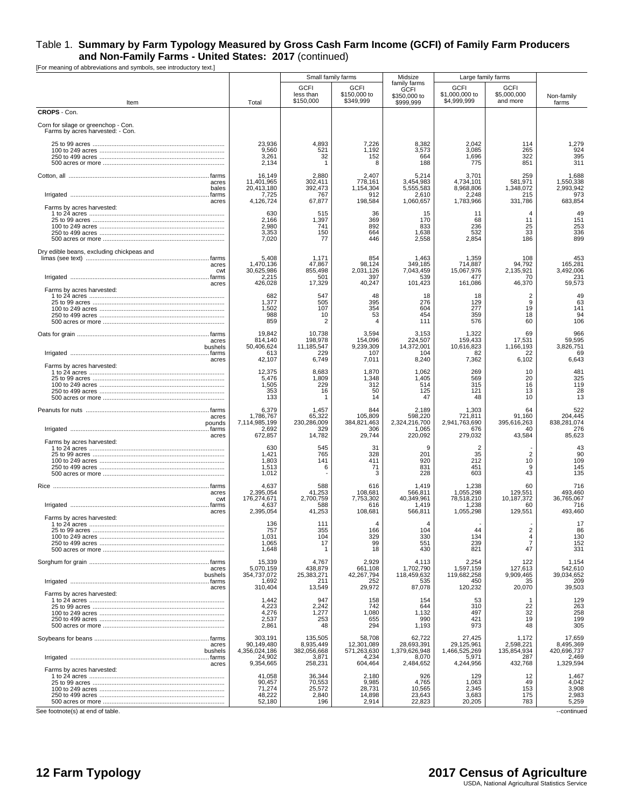[For meaning of abbreviations and symbols, see introductory text.]

|                                                                         |                                                             | Small family farms                                    |                                                        | Midsize                                                  |                                                        | Large family farms                                       |                                                        |
|-------------------------------------------------------------------------|-------------------------------------------------------------|-------------------------------------------------------|--------------------------------------------------------|----------------------------------------------------------|--------------------------------------------------------|----------------------------------------------------------|--------------------------------------------------------|
| Item                                                                    | Total                                                       | <b>GCFI</b><br>less than<br>\$150,000                 | <b>GCFI</b><br>\$150,000 to<br>\$349.999               | family farms<br><b>GCFI</b><br>\$350,000 to<br>\$999,999 | <b>GCFI</b><br>\$1,000,000 to<br>\$4.999.999           | <b>GCFI</b><br>\$5,000,000<br>and more                   | Non-family<br>farms                                    |
| CROPS - Con.                                                            |                                                             |                                                       |                                                        |                                                          |                                                        |                                                          |                                                        |
| Corn for silage or greenchop - Con.<br>Farms by acres harvested: - Con. |                                                             |                                                       |                                                        |                                                          |                                                        |                                                          |                                                        |
|                                                                         | 23,936<br>9,560<br>3,261<br>2,134                           | 4,893<br>521<br>32                                    | 7,226<br>1,192<br>152<br>8                             | 8,382<br>3,573<br>664<br>188                             | 2,042<br>3,085<br>1,696<br>775                         | 114<br>265<br>322<br>851                                 | 1,279<br>924<br>395<br>311                             |
| acres<br>bales                                                          | 16,149<br>11,401,965<br>20,413,180<br>7,725                 | 2,880<br>302,411<br>392,473<br>767                    | 2,407<br>778,161<br>1,154,304<br>912                   | 5,214<br>3,454,983<br>5.555.583<br>2,610                 | 3,701<br>4,734,101<br>8,968,806<br>2,248               | 259<br>581,971<br>1,348,072<br>215                       | 1,688<br>1,550,338<br>2,993,942<br>973                 |
| acres<br>Farms by acres harvested:                                      | 4,126,724<br>630<br>2,166<br>2,980<br>3,353<br>7,020        | 67,877<br>515<br>1,397<br>741<br>150<br>77            | 198,584<br>36<br>369<br>892<br>664<br>446              | 1,060,657<br>15<br>170<br>833<br>1,638<br>2,558          | 1,783,966<br>11<br>68<br>236<br>532<br>2,854           | 331,786<br>$\overline{4}$<br>11<br>25<br>33<br>186       | 683,854<br>49<br>151<br>253<br>336<br>899              |
| Dry edible beans, excluding chickpeas and<br>acres<br>cwt<br>acres      | 5,408<br>1,470,136<br>30,625,986<br>2,215<br>426,028        | 1,171<br>47,867<br>855,498<br>501<br>17,329           | 854<br>98,124<br>2,031,126<br>397<br>40,247            | 1,463<br>349,185<br>7,043,459<br>539<br>101,423          | 1,359<br>714,887<br>15,067,976<br>477<br>161,086       | 108<br>94,792<br>2,135,921<br>70<br>46,370               | 453<br>165,281<br>3,492,006<br>231<br>59,573           |
| Farms by acres harvested:                                               | 682<br>1,377<br>1,502<br>988<br>859                         | 547<br>505<br>107<br>10<br>2                          | 48<br>395<br>354<br>53<br>4                            | 18<br>276<br>604<br>454<br>111                           | 18<br>129<br>277<br>359<br>576                         | $\overline{2}$<br>9<br>19<br>18<br>60                    | 49<br>63<br>141<br>94<br>106                           |
| acres<br>bushels                                                        | 19,842<br>814,140<br>50,406,624<br>613                      | 10,738<br>198,978<br>11,185,547<br>229                | 3.594<br>154,096<br>9,239,309<br>107                   | 3,153<br>224,507<br>14,372,001<br>104                    | 1,322<br>159,433<br>10,616,823<br>82                   | 69<br>17,531<br>1,166,193<br>22                          | 966<br>59,595<br>3,826,751<br>69                       |
| acres<br>Farms by acres harvested:                                      | 42,107<br>12,375<br>5.476<br>1,505<br>353<br>133            | 6,749<br>8,683<br>1.809<br>229<br>16<br>-1            | 7,011<br>1,870<br>1,348<br>312<br>50<br>14             | 8,240<br>1,062<br>1.405<br>514<br>125<br>47              | 7,362<br>269<br>569<br>315<br>121<br>48                | 6,102<br>10<br>20<br>16<br>13<br>10                      | 6,643<br>481<br>325<br>119<br>28<br>13                 |
| acres<br>pounds<br>acres                                                | 6,379<br>1,786,767<br>7,114,985,199<br>2,692<br>672,857     | 1,457<br>65,322<br>230,286,009<br>329<br>14,782       | 844<br>105,809<br>384,821,463<br>306<br>29,744         | 2,189<br>598,220<br>2,324,216,700<br>1,065<br>220,092    | 1,303<br>721,811<br>2,941,763,690<br>676<br>279,032    | 64<br>91,160<br>395,616,263<br>40<br>43,584              | 522<br>204,445<br>838,281,074<br>276<br>85,623         |
| Farms by acres harvested:                                               | 630<br>1,421<br>1,803<br>1,513<br>1,012                     | 545<br>765<br>141<br>6                                | -31<br>328<br>411<br>71<br>3                           | 9<br>201<br>920<br>831<br>228                            | 2<br>35<br>212<br>451<br>603                           | $\overline{2}$<br>10<br>9<br>43                          | 43<br>90<br>109<br>145<br>135                          |
| acres<br>cwt<br>acres                                                   | 4,637<br>2,395,054<br>176,274,671<br>4,637<br>2,395,054     | 588<br>41,253<br>2,700,759<br>588<br>41,253           | 616<br>108,681<br>7,753,302<br>616<br>108,681          | 1,419<br>566,811<br>40,349,961<br>1,419<br>566,811       | 1,238<br>1,055,298<br>78,518,210<br>1,238<br>1,055,298 | 60<br>129,551<br>10,187,372<br>60<br>129,551             | 716<br>493,460<br>36,765,067<br>716<br>493,460         |
| Farms by acres harvested:                                               | 136<br>1,031<br>1,065<br>1,648                              | 111<br>355<br>104<br>17<br>-1                         | 4<br>166<br>329<br>99<br>18                            | 4<br>104<br>330<br>551<br>430                            | 134<br>239<br>821                                      | $\overline{2}$<br>$\overline{4}$<br>$\overline{7}$<br>47 | 17<br>86<br>130<br>152<br>331                          |
| acres<br>bushels                                                        | 15,339<br>5.070.159<br>354,737,072<br>1,692                 | 4,767<br>438,879<br>25,383,271<br>211                 | 2,929<br>661,108<br>42,267,794<br>252                  | 4,113<br>1,702,790<br>118,459,632<br>535                 | 2,254<br>1,597,159<br>119,682,258<br>450               | 122<br>127,613<br>9,909,465<br>35                        | 1,154<br>542,610<br>39,034,652<br>209                  |
| acres<br>Farms by acres harvested:                                      | 310,404<br>1,442<br>4,223<br>4,276<br>2,537<br>2,861        | 13,549<br>947<br>2,242<br>1,277<br>253<br>48          | 29,972<br>158<br>742<br>1,080<br>655<br>294            | 87,078<br>154<br>644<br>1,132<br>990<br>1,193            | 120,232<br>53<br>310<br>497<br>421<br>973              | 20,070<br>22<br>32<br>19<br>48                           | 39,503<br>129<br>263<br>258<br>199<br>305              |
| acres<br>bushels                                                        | 303,191<br>90,149,480<br>4,356,024,186<br>24,902            | 135,505<br>8,935,449<br>382,056,668<br>3,871          | 58,708<br>12,301,089<br>571,263,630<br>4,234           | 62,722<br>28,693,391<br>1,379,626,948<br>8,070           | 27,425<br>29,125,961<br>1,466,525,269<br>5,971         | 1,172<br>2,598,221<br>135,854,934<br>287                 | 17,659<br>8,495,369<br>420,696,737<br>2,469            |
| acres<br>Farms by acres harvested:                                      | 9,354,665<br>41,058<br>90,457<br>71,274<br>48,222<br>52,180 | 258,231<br>36,344<br>70,553<br>25,572<br>2,840<br>196 | 604,464<br>2,180<br>9,985<br>28,731<br>14,898<br>2,914 | 2,484,652<br>926<br>4,765<br>10,565<br>23,643<br>22,823  | 4,244,956<br>129<br>1,063<br>2,345<br>3,683<br>20,205  | 432,768<br>12<br>49<br>153<br>175<br>783                 | 1,329,594<br>1,467<br>4,042<br>3,908<br>2,983<br>5,259 |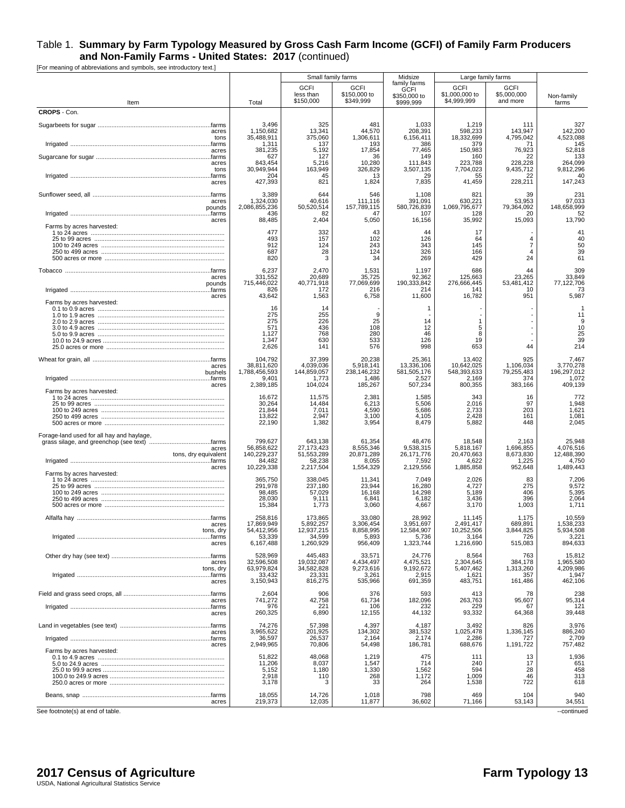[For meaning of abbreviations and symbols, see introductory text.]

|                                                                            |                                                                | Small family farms                                          |                                                           | Midsize                                                  | Large family farms                                     |                                             |                                                        |
|----------------------------------------------------------------------------|----------------------------------------------------------------|-------------------------------------------------------------|-----------------------------------------------------------|----------------------------------------------------------|--------------------------------------------------------|---------------------------------------------|--------------------------------------------------------|
| Item                                                                       | Total                                                          | <b>GCFI</b><br>less than<br>\$150,000                       | <b>GCFI</b><br>\$150,000 to<br>\$349.999                  | family farms<br><b>GCFI</b><br>\$350,000 to<br>\$999.999 | <b>GCFI</b><br>\$1,000,000 to<br>\$4,999,999           | <b>GCFI</b><br>\$5,000,000<br>and more      | Non-family<br>farms                                    |
| CROPS - Con.                                                               |                                                                |                                                             |                                                           |                                                          |                                                        |                                             |                                                        |
| acres<br>tons                                                              | 3,496<br>1,150,682<br>35,488,911<br>1,311                      | 325<br>13,341<br>375,060<br>137                             | 481<br>44,570<br>1,306,611<br>193                         | 1,033<br>208,391<br>6,156,411<br>386                     | 1,219<br>598,233<br>18,332,699<br>379                  | 111<br>143,947<br>4,795,042<br>71           | 327<br>142,200<br>4,523,088<br>145                     |
| acres<br>acres                                                             | 381,235<br>627<br>843,454                                      | 5,192<br>127<br>5,216                                       | 17,854<br>36<br>10,280                                    | 77,465<br>149<br>111,843                                 | 150,983<br>160<br>223,788                              | 76,923<br>22<br>228,228                     | 52,818<br>133<br>264,099                               |
| tons<br>acres                                                              | 30,949,944<br>204<br>427,393                                   | 163,949<br>45<br>821                                        | 326,829<br>13<br>1,824                                    | 3,507,135<br>29<br>7,835                                 | 7,704,023<br>41,459                                    | 9,435,712<br>22<br>228,211                  | 9,812,296<br>40<br>147,243                             |
| acres<br>pounds                                                            | 3,389<br>1,324,030<br>2,086,855,236<br>436                     | 644<br>40,616<br>50,520,514<br>82                           | 546<br>111,116<br>157,789,115<br>47                       | 1,108<br>391,091<br>580,726,839<br>107                   | 821<br>630,221<br>1,069,795,677<br>128                 | 39<br>53,953<br>79,364,092<br>20            | 231<br>97,033<br>148,658,999<br>52                     |
| acres                                                                      | 88,485                                                         | 2,404                                                       | 5,050                                                     | 16,156                                                   | 35,992                                                 | 15,093                                      | 13,790                                                 |
| Farms by acres harvested:                                                  | 477<br>493<br>912<br>687<br>820                                | 332<br>157<br>124<br>28<br>3                                | 43<br>102<br>243<br>124<br>34                             | 44<br>126<br>343<br>326<br>269                           | 17<br>64<br>145<br>166<br>429                          | $\overline{4}$<br>7<br>$\overline{4}$<br>24 | 41<br>40<br>50<br>39<br>61                             |
| acres<br>pounds<br>acres                                                   | 6,237<br>331.552<br>715,446,022<br>826<br>43,642               | 2,470<br>20.689<br>40,771,918<br>172<br>1,563               | 1,531<br>35.725<br>77,069,699<br>216<br>6,758             | 1,197<br>92.362<br>190,333,842<br>214<br>11,600          | 686<br>125,663<br>276,666,445<br>141<br>16,782         | 44<br>23,265<br>53,481,412<br>10<br>951     | 309<br>33.849<br>77,122,706<br>73<br>5,987             |
| Farms by acres harvested:                                                  | 16<br>275<br>275<br>571<br>1,127<br>1,347<br>2,626             | 14<br>255<br>226<br>436<br>768<br>630<br>141                | 9<br>25<br>108<br>280<br>533<br>576                       | 1<br>14<br>12<br>46<br>126<br>998                        | 1<br>5<br>8<br>19<br>653                               | 44                                          | -1<br>11<br>9<br>10<br>25<br>39<br>214                 |
| acres<br>bushels                                                           | 104,792<br>38,811,620<br>1,788,456,593<br>9.401                | 37,399<br>4,039,036<br>144,859,057<br>1,773                 | 20,238<br>5,918,141<br>238,146,232<br>1,486               | 25,361<br>13,336,106<br>581,505,176<br>2,527             | 13,402<br>10,642,025<br>548,393,633<br>2,169           | 925<br>1,106,034<br>79,255,483<br>374       | 7,467<br>3,770,278<br>196,297,012<br>1,072             |
| acres<br>Farms by acres harvested:                                         | 2,389,185<br>16,672<br>30,264<br>21,844<br>13,822<br>22,190    | 104,024<br>11,575<br>14,484<br>7,011<br>2,947<br>1,382      | 185,267<br>2,381<br>6,213<br>4,590<br>3,100<br>3,954      | 507,234<br>1,585<br>5,506<br>5,686<br>4,105<br>8,479     | 800,355<br>343<br>2,016<br>2,733<br>2,428<br>5,882     | 383,166<br>16<br>97<br>203<br>161<br>448    | 409,139<br>772<br>1,948<br>1,621<br>1,081<br>2,045     |
| Forage-land used for all hay and haylage,<br>acres<br>tons, dry equivalent | 799,627<br>56,858,622<br>140,229,237<br>84,482                 | 643,138<br>27, 173, 423<br>51,553,289<br>58,238             | 61,354<br>8,555,346<br>20,871,289<br>8,055                | 48,476<br>9,538,315<br>26, 171, 776<br>7,592             | 18,548<br>5,818,167<br>20,470,663<br>4,622             | 2,163<br>1,696,855<br>8,673,830<br>1,225    | 25,948<br>4,076,516<br>12,488,390<br>4,750             |
| acres<br>Farms by acres harvested:                                         | 10,229,338<br>365,750<br>291,978<br>98,485<br>28,030<br>15,384 | 2,217,504<br>338,045<br>237,180<br>57,029<br>9,111<br>1,773 | 1,554,329<br>11,341<br>23,944<br>16,168<br>6,841<br>3,060 | 2,129,556<br>7,049<br>16,280<br>14,298<br>6,182<br>4,667 | 1,885,858<br>2,026<br>4,727<br>5,189<br>3,436<br>3,170 | 952,648<br>83<br>275<br>406<br>396<br>1,003 | 1,489,443<br>7,206<br>9,572<br>5,395<br>2,064<br>1,711 |
| acres<br>tons, dry                                                         | 258,816<br>17,869,949<br>54,412,956<br>53,339                  | 173,865<br>5,892,257<br>12,937,215<br>34,599                | 33,080<br>3,306,454<br>8,858,995<br>5,893                 | 28,992<br>3,951,697<br>12,584,907<br>5,736               | 11,145<br>2,491,417<br>10,252,506<br>3,164             | 1,175<br>689.891<br>3,844,825<br>726        | 10,559<br>1,538,233<br>5,934,508<br>3,221              |
| acres                                                                      | 6,167,488<br>528,969                                           | 1,260,929<br>445,483                                        | 956,409<br>33,571                                         | 1,323,744<br>24,776                                      | 1,216,690<br>8,564                                     | 515,083<br>763                              | 894,633<br>15,812                                      |
| acres<br>tons, dry<br>acres                                                | 32,596,508<br>63,979,824<br>33,432<br>3,150,943                | 19,032,087<br>34,582,828<br>23,331<br>816,275               | 4,434,497<br>9,273,616<br>3,261<br>535,966                | 4,475,521<br>9,192,672<br>2,915<br>691,359               | 2,304,645<br>5,407,462<br>1,621<br>483,751             | 384,178<br>1,313,260<br>357<br>161,486      | 1,965,580<br>4,209,986<br>1,947<br>462,106             |
|                                                                            | 2,604                                                          | 906                                                         | 376                                                       | 593                                                      | 413                                                    | 78                                          |                                                        |
| acres<br>acres                                                             | 741,272<br>976<br>260,325                                      | 42,758<br>221<br>6,890                                      | 61,734<br>106<br>12,155                                   | 182,096<br>232<br>44,132                                 | 263,763<br>229<br>93,332                               | 95,607<br>67<br>64,368                      | 238<br>95,314<br>121<br>39,448                         |
| acres<br>acres                                                             | 74,276<br>3,965,622<br>36,597<br>2,949,965                     | 57,398<br>201,925<br>26,537<br>70,806                       | 4,397<br>134.302<br>2,164<br>54,498                       | 4,187<br>381,532<br>2,174<br>186,781                     | 3,492<br>1,025,478<br>2,286<br>688,676                 | 826<br>1,336,145<br>727<br>1,191,722        | 3,976<br>886,240<br>2,709<br>757,482                   |
| Farms by acres harvested:                                                  | 51,822<br>11,206<br>5,152<br>2,918<br>3,178                    | 48,068<br>8,037<br>1,180<br>110<br>3                        | 1,219<br>1,547<br>1,330<br>268<br>33                      | 475<br>714<br>1,562<br>1,172<br>264                      | 111<br>240<br>594<br>1,009<br>1,538                    | 13<br>17<br>28<br>46<br>722                 | 1,936<br>651<br>458<br>313<br>618                      |
| acres                                                                      | 18,055<br>219,373                                              | 14,726<br>12,035                                            | 1,018<br>11,877                                           | 798<br>36,602                                            | 469<br>71,166                                          | 104<br>53,143                               | 940<br>34,551                                          |